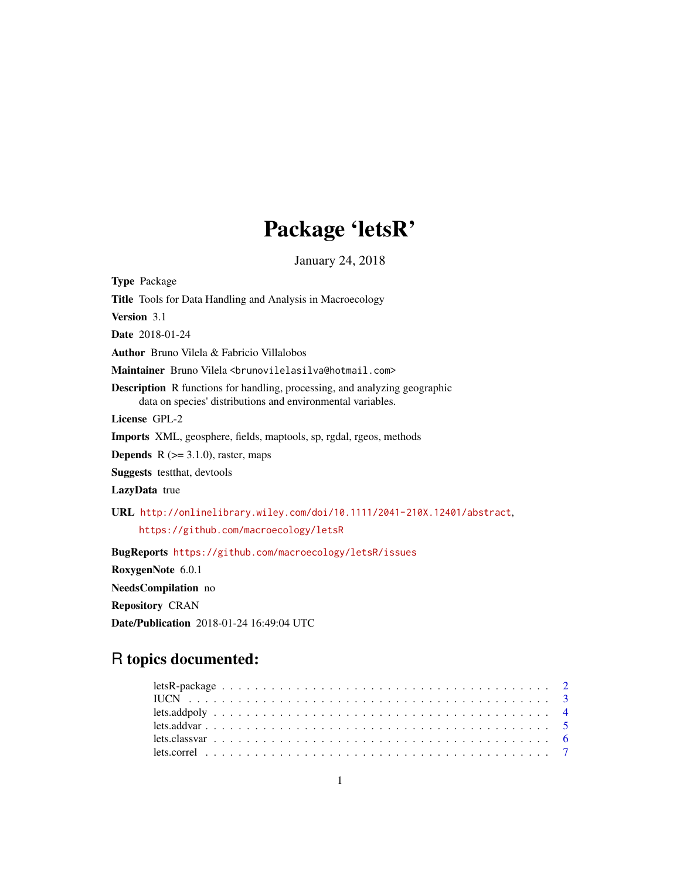# Package 'letsR'

January 24, 2018

<span id="page-0-0"></span>

| <b>Type</b> Package                                                                                                                              |
|--------------------------------------------------------------------------------------------------------------------------------------------------|
| Title Tools for Data Handling and Analysis in Macroecology                                                                                       |
| <b>Version</b> 3.1                                                                                                                               |
| <b>Date</b> 2018-01-24                                                                                                                           |
| <b>Author</b> Bruno Vilela & Fabricio Villalobos                                                                                                 |
| Maintainer Bruno Vilela <brunovilelasilva@hotmail.com></brunovilelasilva@hotmail.com>                                                            |
| <b>Description</b> R functions for handling, processing, and analyzing geographic<br>data on species' distributions and environmental variables. |
| License GPL-2                                                                                                                                    |
| <b>Imports</b> XML, geosphere, fields, maptools, sp, rgdal, rgeos, methods                                                                       |
| <b>Depends</b> $R$ ( $> = 3.1.0$ ), raster, maps                                                                                                 |
| <b>Suggests</b> test that, devtools                                                                                                              |
| <b>LazyData</b> true                                                                                                                             |
| URL http://onlinelibrary.wiley.com/doi/10.1111/2041-210X.12401/abstract,                                                                         |
| https://github.com/macroecology/letsR                                                                                                            |
| BugReports https://github.com/macroecology/letsR/issues                                                                                          |
| RoxygenNote 6.0.1                                                                                                                                |
| NeedsCompilation no                                                                                                                              |
| <b>Repository CRAN</b>                                                                                                                           |

Date/Publication 2018-01-24 16:49:04 UTC

# R topics documented: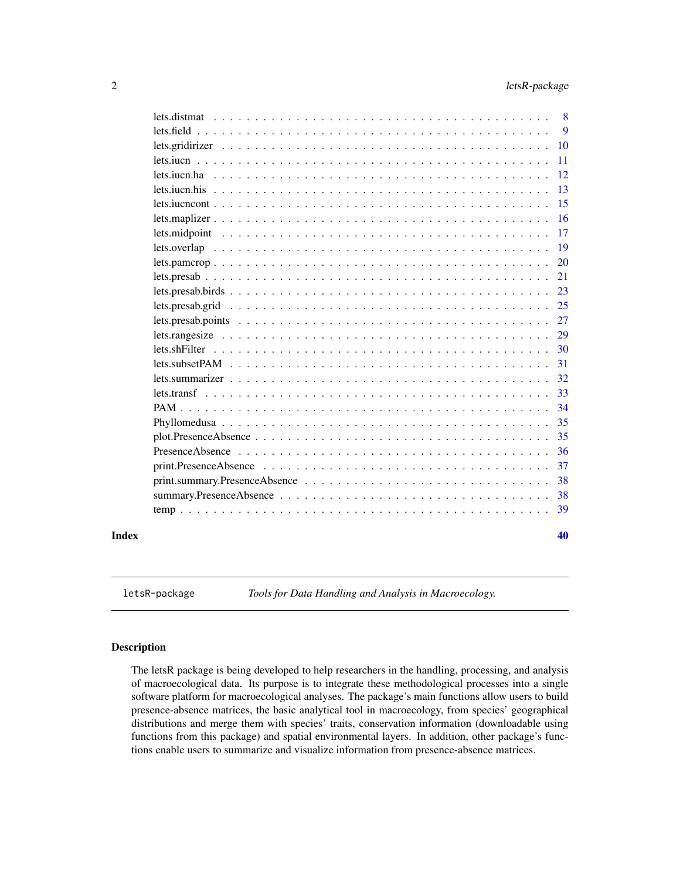<span id="page-1-0"></span>

| Index |                         | 40 |
|-------|-------------------------|----|
|       |                         | 39 |
|       |                         | 38 |
|       |                         | 38 |
|       |                         | 37 |
|       |                         | 36 |
|       | $plot.Presence Absence$ | 35 |
|       |                         | 35 |
|       |                         | 34 |
|       |                         | 33 |
|       |                         | 32 |
|       |                         | 31 |
|       |                         | 30 |
|       |                         | 29 |
|       |                         | 27 |
|       |                         | 25 |
|       |                         | 23 |
|       |                         | 21 |
|       |                         | 20 |
|       |                         | 19 |
|       |                         | 17 |
|       |                         | 16 |
|       |                         | 15 |
|       |                         | 13 |
|       |                         | 12 |
|       |                         | 11 |
|       |                         | 10 |
|       |                         | 9  |
|       |                         | 8  |

letsR-package *Tools for Data Handling and Analysis in Macroecology.*

### <span id="page-1-1"></span>Description

The letsR package is being developed to help researchers in the handling, processing, and analysis of macroecological data. Its purpose is to integrate these methodological processes into a single software platform for macroecological analyses. The package's main functions allow users to build presence-absence matrices, the basic analytical tool in macroecology, from species' geographical distributions and merge them with species' traits, conservation information (downloadable using functions from this package) and spatial environmental layers. In addition, other package's functions enable users to summarize and visualize information from presence-absence matrices.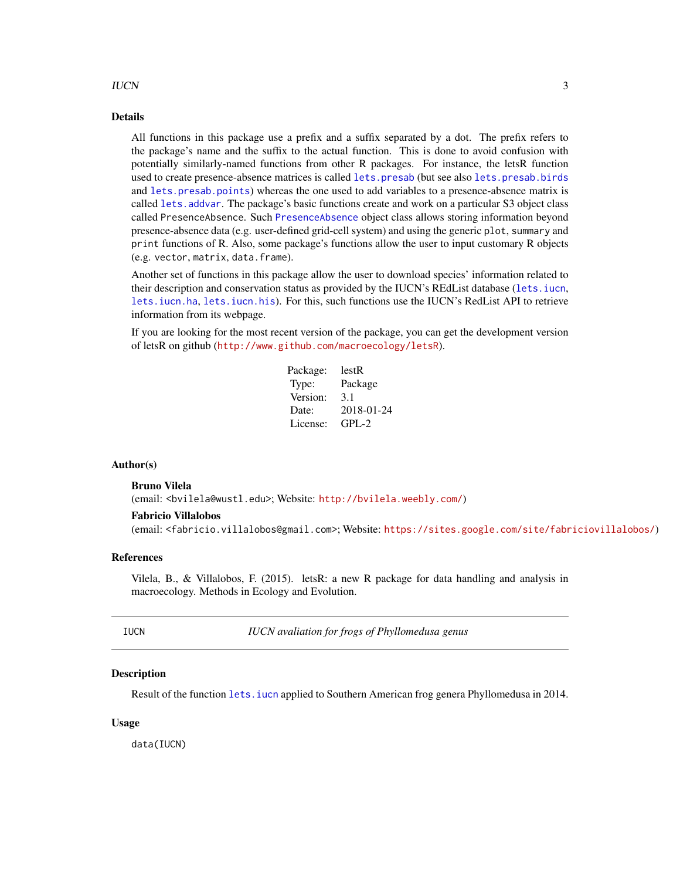#### <span id="page-2-0"></span>IUCN 3

#### Details

All functions in this package use a prefix and a suffix separated by a dot. The prefix refers to the package's name and the suffix to the actual function. This is done to avoid confusion with potentially similarly-named functions from other R packages. For instance, the letsR function used to create presence-absence matrices is called [lets.presab](#page-20-1) (but see also [lets.presab.birds](#page-22-1) and [lets.presab.points](#page-26-1)) whereas the one used to add variables to a presence-absence matrix is called [lets.addvar](#page-4-1). The package's basic functions create and work on a particular S3 object class called PresenceAbsence. Such [PresenceAbsence](#page-35-1) object class allows storing information beyond presence-absence data (e.g. user-defined grid-cell system) and using the generic plot, summary and print functions of R. Also, some package's functions allow the user to input customary R objects (e.g. vector, matrix, data.frame).

Another set of functions in this package allow the user to download species' information related to their description and conservation status as provided by the IUCN's REdList database ([lets.iucn](#page-10-1), [lets.iucn.ha](#page-11-1), [lets.iucn.his](#page-12-1)). For this, such functions use the IUCN's RedList API to retrieve information from its webpage.

If you are looking for the most recent version of the package, you can get the development version of letsR on github (<http://www.github.com/macroecology/letsR>).

| lestR      |
|------------|
| Package    |
| 3.1        |
| 2018-01-24 |
| $GPL-2$    |
|            |

#### Author(s)

#### Bruno Vilela

(email: <bvilela@wustl.edu>; Website: <http://bvilela.weebly.com/>)

#### Fabricio Villalobos

(email: <fabricio.villalobos@gmail.com>; Website: <https://sites.google.com/site/fabriciovillalobos/>)

#### References

Vilela, B., & Villalobos, F. (2015). letsR: a new R package for data handling and analysis in macroecology. Methods in Ecology and Evolution.

IUCN *IUCN avaliation for frogs of Phyllomedusa genus*

#### **Description**

Result of the function [lets.iucn](#page-10-1) applied to Southern American frog genera Phyllomedusa in 2014.

#### Usage

data(IUCN)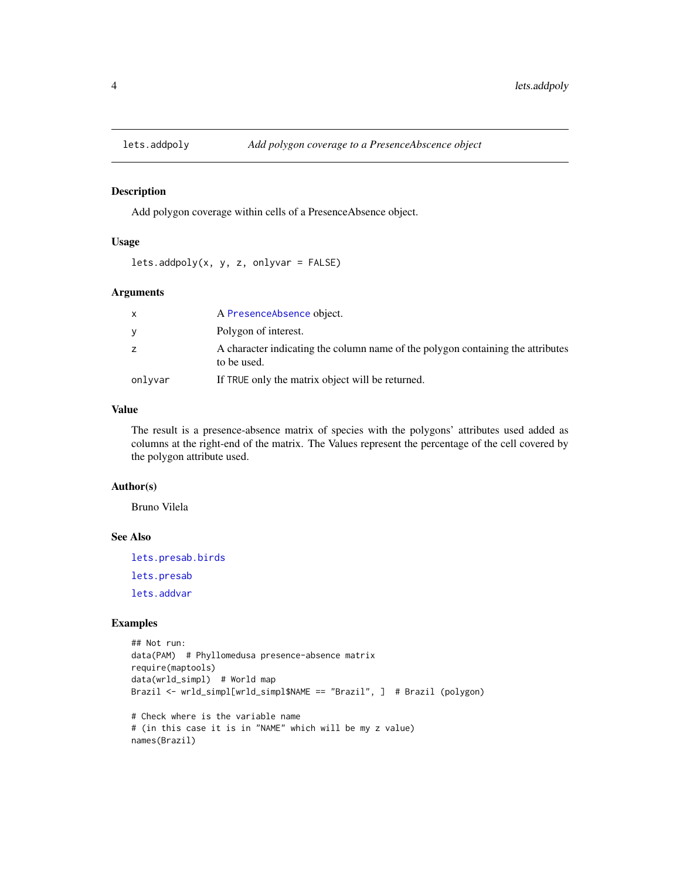<span id="page-3-1"></span><span id="page-3-0"></span>

### Description

Add polygon coverage within cells of a PresenceAbsence object.

### Usage

```
lets.addpoly(x, y, z, onlyvar = FALSE)
```
### Arguments

|         | A PresenceAbsence object.                                                                      |
|---------|------------------------------------------------------------------------------------------------|
| y       | Polygon of interest.                                                                           |
| z       | A character indicating the column name of the polygon containing the attributes<br>to be used. |
| onlyvar | If TRUE only the matrix object will be returned.                                               |

### Value

The result is a presence-absence matrix of species with the polygons' attributes used added as columns at the right-end of the matrix. The Values represent the percentage of the cell covered by the polygon attribute used.

#### Author(s)

Bruno Vilela

### See Also

[lets.presab.birds](#page-22-1) [lets.presab](#page-20-1) [lets.addvar](#page-4-1)

### Examples

```
## Not run:
data(PAM) # Phyllomedusa presence-absence matrix
require(maptools)
data(wrld_simpl) # World map
Brazil <- wrld_simpl[wrld_simpl$NAME == "Brazil", ] # Brazil (polygon)
# Check where is the variable name
# (in this case it is in "NAME" which will be my z value)
names(Brazil)
```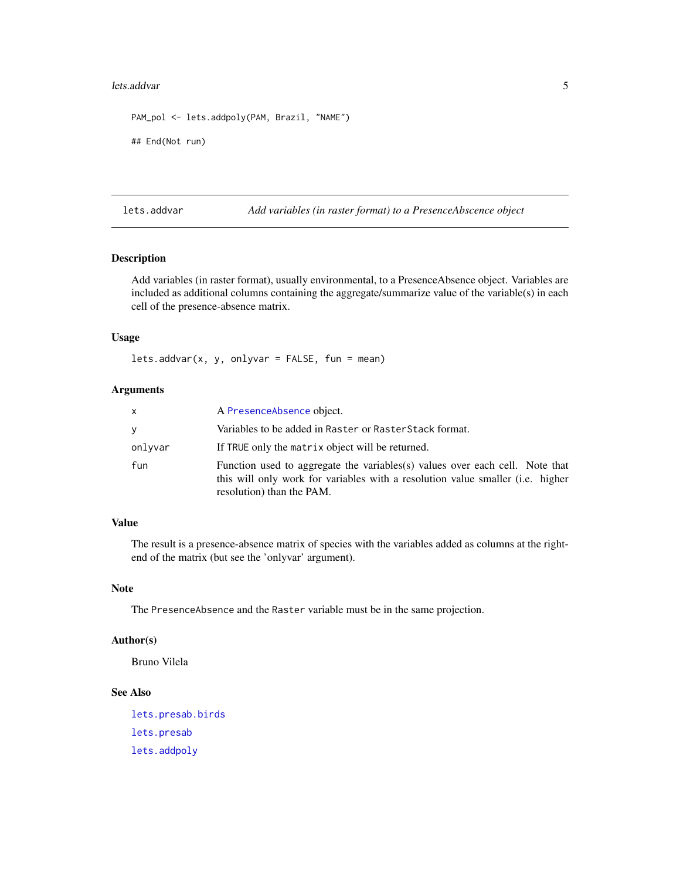#### <span id="page-4-0"></span>lets.addvar 5

```
PAM_pol <- lets.addpoly(PAM, Brazil, "NAME")
## End(Not run)
```
<span id="page-4-1"></span>lets.addvar *Add variables (in raster format) to a PresenceAbscence object*

### Description

Add variables (in raster format), usually environmental, to a PresenceAbsence object. Variables are included as additional columns containing the aggregate/summarize value of the variable(s) in each cell of the presence-absence matrix.

### Usage

lets.addvar(x, y, onlyvar = FALSE, fun = mean)

#### Arguments

| x       | A PresenceAbsence object.                                                                                                                                                                           |
|---------|-----------------------------------------------------------------------------------------------------------------------------------------------------------------------------------------------------|
| V       | Variables to be added in Raster or RasterStack format.                                                                                                                                              |
| onlyvar | If TRUE only the matrix object will be returned.                                                                                                                                                    |
| fun     | Function used to aggregate the variables(s) values over each cell. Note that<br>this will only work for variables with a resolution value smaller ( <i>i.e.</i> higher<br>resolution) than the PAM. |

### Value

The result is a presence-absence matrix of species with the variables added as columns at the rightend of the matrix (but see the 'onlyvar' argument).

### Note

The PresenceAbsence and the Raster variable must be in the same projection.

### Author(s)

Bruno Vilela

### See Also

[lets.presab.birds](#page-22-1) [lets.presab](#page-20-1) [lets.addpoly](#page-3-1)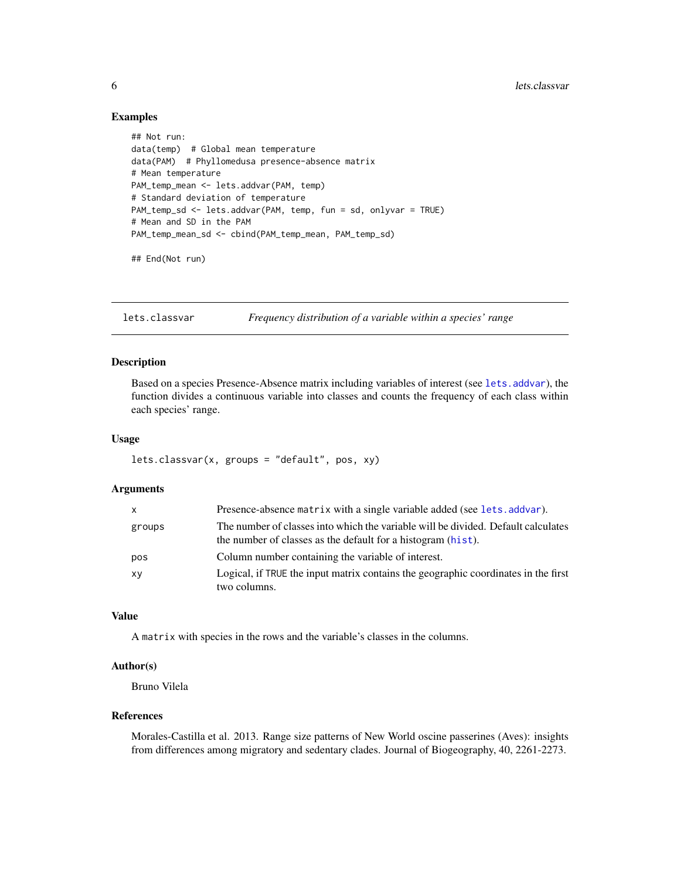#### Examples

```
## Not run:
data(temp) # Global mean temperature
data(PAM) # Phyllomedusa presence-absence matrix
# Mean temperature
PAM_temp_mean <- lets.addvar(PAM, temp)
# Standard deviation of temperature
PAM_temp_sd <- lets.addvar(PAM, temp, fun = sd, onlyvar = TRUE)
# Mean and SD in the PAM
PAM_temp_mean_sd <- cbind(PAM_temp_mean, PAM_temp_sd)
```
## End(Not run)

lets.classvar *Frequency distribution of a variable within a species' range*

### Description

Based on a species Presence-Absence matrix including variables of interest (see [lets.addvar](#page-4-1)), the function divides a continuous variable into classes and counts the frequency of each class within each species' range.

#### Usage

lets.classvar(x, groups = "default", pos, xy)

### Arguments

| $\mathsf{x}$ | Presence-absence matrix with a single variable added (see lets. addvar).                                                                          |
|--------------|---------------------------------------------------------------------------------------------------------------------------------------------------|
| groups       | The number of classes into which the variable will be divided. Default calculates<br>the number of classes as the default for a histogram (hist). |
| pos          | Column number containing the variable of interest.                                                                                                |
| XV           | Logical, if TRUE the input matrix contains the geographic coordinates in the first<br>two columns.                                                |

#### Value

A matrix with species in the rows and the variable's classes in the columns.

### Author(s)

Bruno Vilela

### References

Morales-Castilla et al. 2013. Range size patterns of New World oscine passerines (Aves): insights from differences among migratory and sedentary clades. Journal of Biogeography, 40, 2261-2273.

<span id="page-5-0"></span>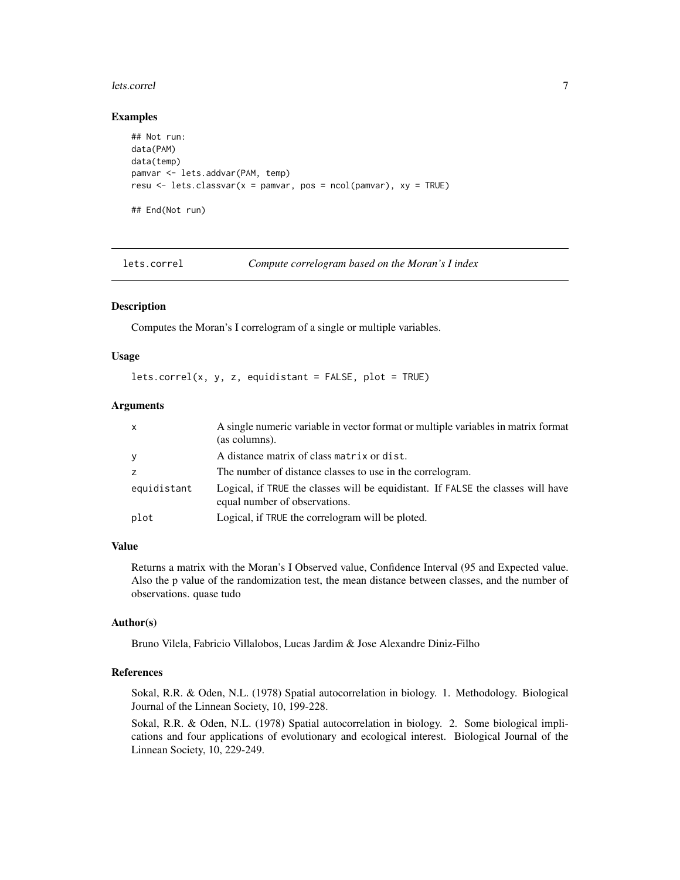#### <span id="page-6-0"></span>lets.correl 2008 and 2008 and 2008 and 2008 and 2008 and 2008 and 2008 and 2008 and 2008 and 2008 and 2008 and 2008 and 2008 and 2008 and 2008 and 2008 and 2008 and 2008 and 2008 and 2008 and 2008 and 2008 and 2008 and 200

#### Examples

```
## Not run:
data(PAM)
data(temp)
pamvar <- lets.addvar(PAM, temp)
resu \leq lets.classvar(x = pamvar, pos = ncol(pamvar), xy = TRUE)
## End(Not run)
```
lets.correl *Compute correlogram based on the Moran's I index*

#### Description

Computes the Moran's I correlogram of a single or multiple variables.

#### Usage

```
lets.correl(x, y, z, equidistant = FALSE, plot = TRUE)
```
#### Arguments

| $\mathsf{x}$ | A single numeric variable in vector format or multiple variables in matrix format<br>(as columns).                |
|--------------|-------------------------------------------------------------------------------------------------------------------|
| У            | A distance matrix of class matrix or dist.                                                                        |
| Z            | The number of distance classes to use in the correlogram.                                                         |
| equidistant  | Logical, if TRUE the classes will be equidistant. If FALSE the classes will have<br>equal number of observations. |
| plot         | Logical, if TRUE the correlogram will be ploted.                                                                  |

### Value

Returns a matrix with the Moran's I Observed value, Confidence Interval (95 and Expected value. Also the p value of the randomization test, the mean distance between classes, and the number of observations. quase tudo

#### Author(s)

Bruno Vilela, Fabricio Villalobos, Lucas Jardim & Jose Alexandre Diniz-Filho

### References

Sokal, R.R. & Oden, N.L. (1978) Spatial autocorrelation in biology. 1. Methodology. Biological Journal of the Linnean Society, 10, 199-228.

Sokal, R.R. & Oden, N.L. (1978) Spatial autocorrelation in biology. 2. Some biological implications and four applications of evolutionary and ecological interest. Biological Journal of the Linnean Society, 10, 229-249.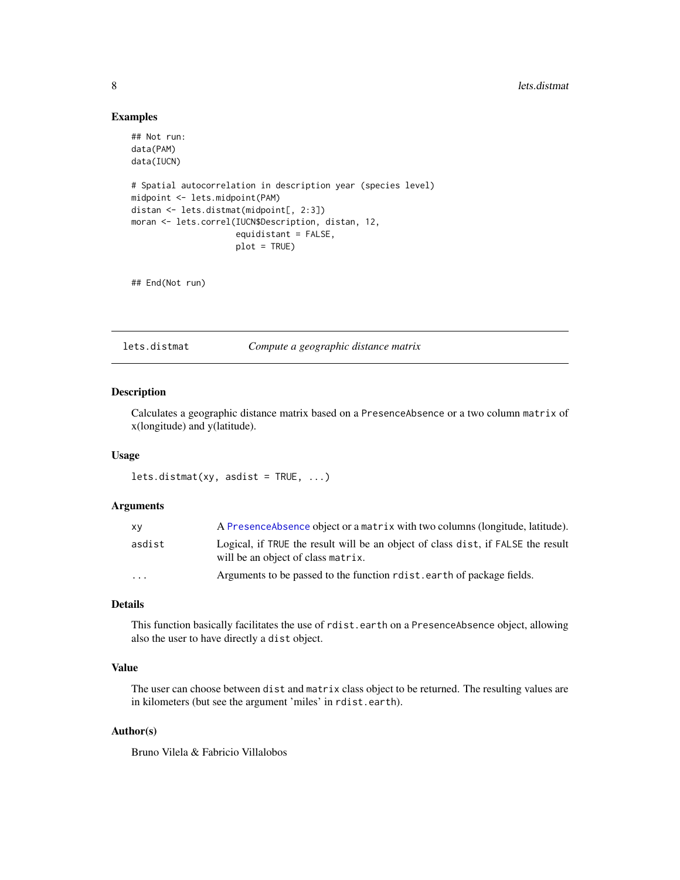#### 8 lets.distmation in the contract of the contract of the contract of the contract of the contract of the contract of the contract of the contract of the contract of the contract of the contract of the contract of the contr

### Examples

```
## Not run:
data(PAM)
data(IUCN)
# Spatial autocorrelation in description year (species level)
midpoint <- lets.midpoint(PAM)
distan <- lets.distmat(midpoint[, 2:3])
moran <- lets.correl(IUCN$Description, distan, 12,
                     equidistant = FALSE,
                     plot = TRUE)
```
## End(Not run)

<span id="page-7-1"></span>lets.distmat *Compute a geographic distance matrix*

### Description

Calculates a geographic distance matrix based on a PresenceAbsence or a two column matrix of x(longitude) and y(latitude).

### Usage

 $lets.distmat(xy, asdist = TRUE, ...)$ 

#### Arguments

| xy     | A Presence Absence object or a matrix with two columns (longitude, latitude).                                          |
|--------|------------------------------------------------------------------------------------------------------------------------|
| asdist | Logical, if TRUE the result will be an object of class dist, if FALSE the result<br>will be an object of class matrix. |
| .      | Arguments to be passed to the function related nearth of package fields.                                               |

### Details

This function basically facilitates the use of rdist.earth on a PresenceAbsence object, allowing also the user to have directly a dist object.

### Value

The user can choose between dist and matrix class object to be returned. The resulting values are in kilometers (but see the argument 'miles' in rdist.earth).

### Author(s)

Bruno Vilela & Fabricio Villalobos

<span id="page-7-0"></span>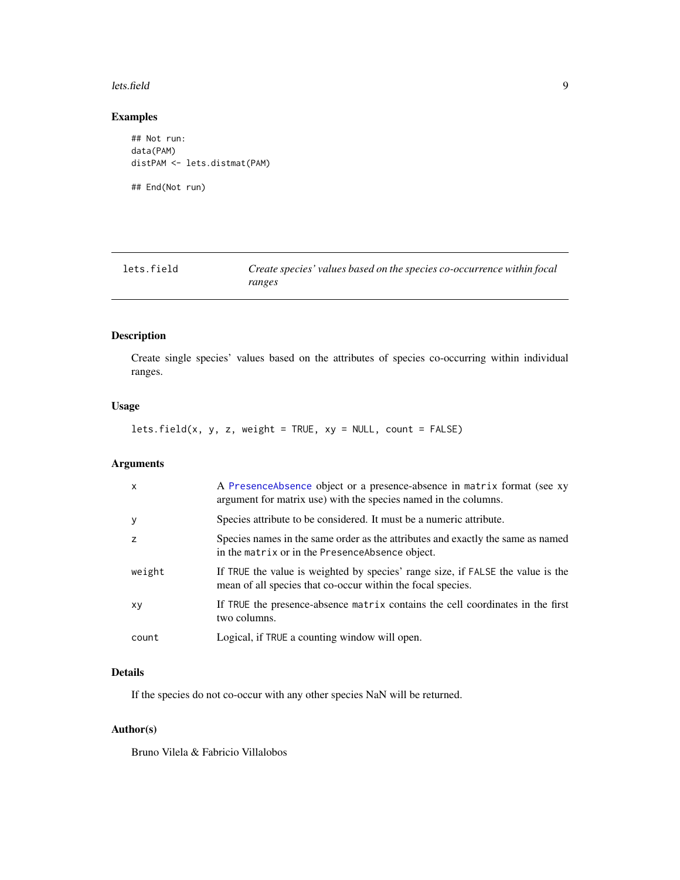#### <span id="page-8-0"></span>lets.field 9

### Examples

```
## Not run:
data(PAM)
distPAM <- lets.distmat(PAM)
```
## End(Not run)

<span id="page-8-1"></span>

| lets.field | Create species' values based on the species co-occurrence within focal |
|------------|------------------------------------------------------------------------|
|            | ranges                                                                 |

### Description

Create single species' values based on the attributes of species co-occurring within individual ranges.

### Usage

lets.field(x, y, z, weight = TRUE, xy = NULL, count = FALSE)

### Arguments

| $\mathsf{x}$ | A PresenceAbsence object or a presence-absence in matrix format (see xy<br>argument for matrix use) with the species named in the columns.     |
|--------------|------------------------------------------------------------------------------------------------------------------------------------------------|
| y            | Species attribute to be considered. It must be a numeric attribute.                                                                            |
| z            | Species names in the same order as the attributes and exactly the same as named<br>in the matrix or in the Presence Absence object.            |
| weight       | If TRUE the value is weighted by species' range size, if FALSE the value is the<br>mean of all species that co-occur within the focal species. |
| XV           | If TRUE the presence-absence matrix contains the cell coordinates in the first<br>two columns.                                                 |
| count        | Logical, if TRUE a counting window will open.                                                                                                  |

### Details

If the species do not co-occur with any other species NaN will be returned.

### Author(s)

Bruno Vilela & Fabricio Villalobos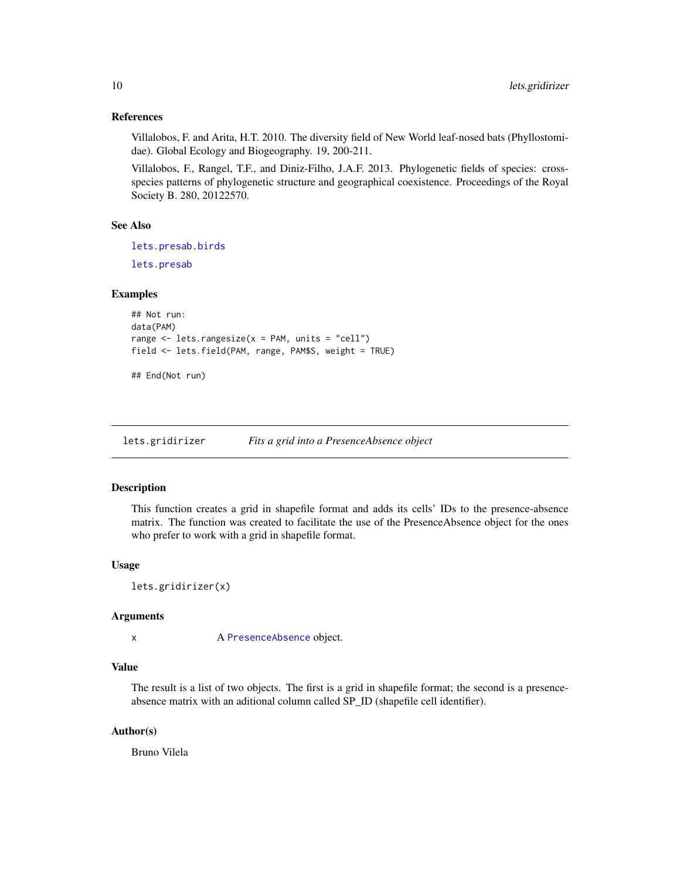#### <span id="page-9-0"></span>References

Villalobos, F. and Arita, H.T. 2010. The diversity field of New World leaf-nosed bats (Phyllostomidae). Global Ecology and Biogeography. 19, 200-211.

Villalobos, F., Rangel, T.F., and Diniz-Filho, J.A.F. 2013. Phylogenetic fields of species: crossspecies patterns of phylogenetic structure and geographical coexistence. Proceedings of the Royal Society B. 280, 20122570.

#### See Also

[lets.presab.birds](#page-22-1)

[lets.presab](#page-20-1)

#### Examples

```
## Not run:
data(PAM)
range \leq lets.rangesize(x = PAM, units = "cell")
field <- lets.field(PAM, range, PAM$S, weight = TRUE)
```
## End(Not run)

<span id="page-9-1"></span>lets.gridirizer *Fits a grid into a PresenceAbsence object*

### **Description**

This function creates a grid in shapefile format and adds its cells' IDs to the presence-absence matrix. The function was created to facilitate the use of the PresenceAbsence object for the ones who prefer to work with a grid in shapefile format.

#### Usage

```
lets.gridirizer(x)
```
### Arguments

x A [PresenceAbsence](#page-35-1) object.

### Value

The result is a list of two objects. The first is a grid in shapefile format; the second is a presenceabsence matrix with an aditional column called SP\_ID (shapefile cell identifier).

#### Author(s)

Bruno Vilela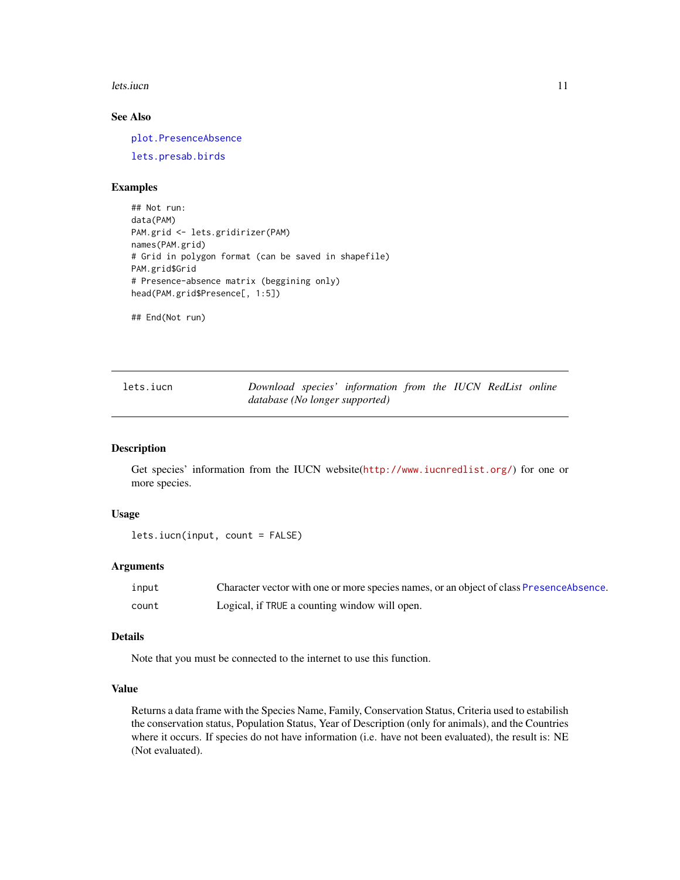#### <span id="page-10-0"></span>lets.iucn 11

### See Also

[plot.PresenceAbsence](#page-34-1)

[lets.presab.birds](#page-22-1)

### Examples

```
## Not run:
data(PAM)
PAM.grid <- lets.gridirizer(PAM)
names(PAM.grid)
# Grid in polygon format (can be saved in shapefile)
PAM.grid$Grid
# Presence-absence matrix (beggining only)
head(PAM.grid$Presence[, 1:5])
```
## End(Not run)

<span id="page-10-1"></span>

| lets.iucn |                                | Download species' information from the IUCN RedList online |  |  |  |
|-----------|--------------------------------|------------------------------------------------------------|--|--|--|
|           | database (No longer supported) |                                                            |  |  |  |

#### Description

Get species' information from the IUCN website(<http://www.iucnredlist.org/>) for one or more species.

### Usage

```
lets.iucn(input, count = FALSE)
```
### Arguments

| input | Character vector with one or more species names, or an object of class PresenceAbsence. |
|-------|-----------------------------------------------------------------------------------------|
| count | Logical, if TRUE a counting window will open.                                           |

#### Details

Note that you must be connected to the internet to use this function.

#### Value

Returns a data frame with the Species Name, Family, Conservation Status, Criteria used to estabilish the conservation status, Population Status, Year of Description (only for animals), and the Countries where it occurs. If species do not have information (i.e. have not been evaluated), the result is: NE (Not evaluated).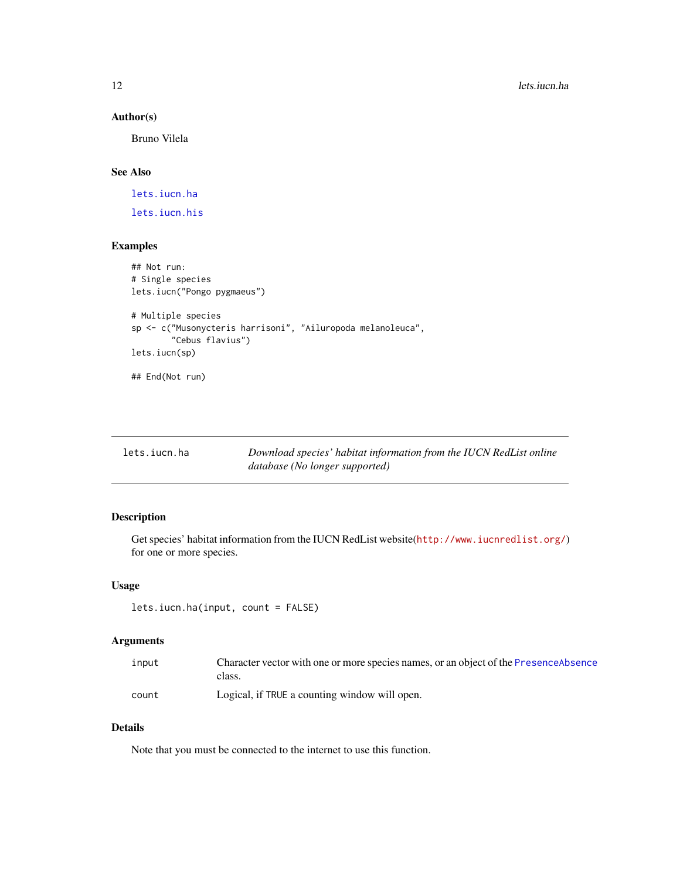### Author(s)

Bruno Vilela

## See Also

[lets.iucn.ha](#page-11-1)

[lets.iucn.his](#page-12-1)

### Examples

```
## Not run:
# Single species
lets.iucn("Pongo pygmaeus")
# Multiple species
sp <- c("Musonycteris harrisoni", "Ailuropoda melanoleuca",
        "Cebus flavius")
lets.iucn(sp)
## End(Not run)
```
<span id="page-11-1"></span>

| lets.iucn.ha | Download species' habitat information from the IUCN RedList online |
|--------------|--------------------------------------------------------------------|
|              | database (No longer supported)                                     |

### Description

Get species' habitat information from the IUCN RedList website(<http://www.iucnredlist.org/>) for one or more species.

### Usage

lets.iucn.ha(input, count = FALSE)

### Arguments

| input | Character vector with one or more species names, or an object of the PresenceAbsence<br>class. |
|-------|------------------------------------------------------------------------------------------------|
| count | Logical, if TRUE a counting window will open.                                                  |

## Details

Note that you must be connected to the internet to use this function.

<span id="page-11-0"></span>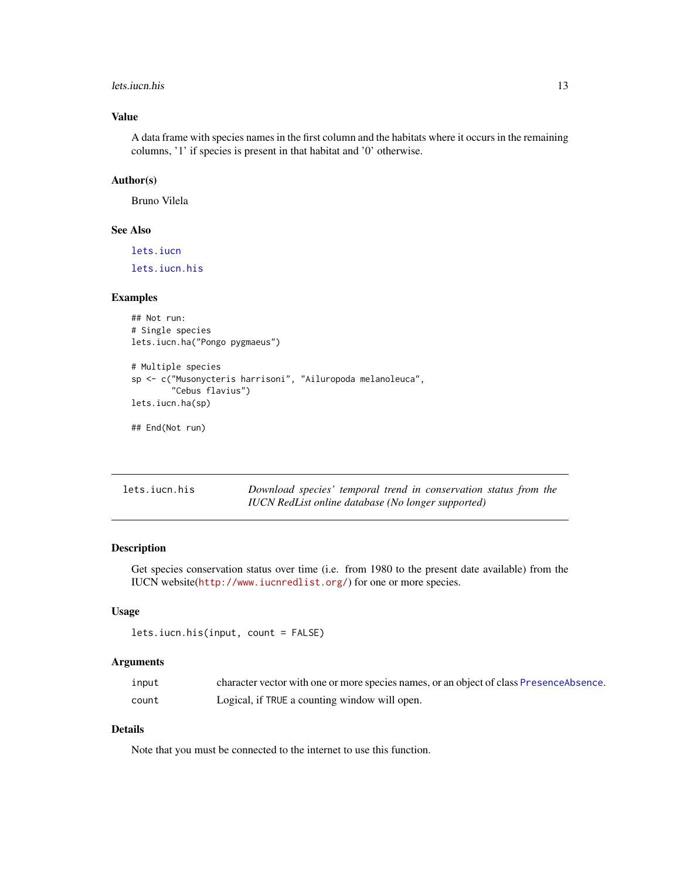#### <span id="page-12-0"></span>lets.iucn.his 13

### Value

A data frame with species names in the first column and the habitats where it occurs in the remaining columns, '1' if species is present in that habitat and '0' otherwise.

### Author(s)

Bruno Vilela

### See Also

[lets.iucn](#page-10-1)

[lets.iucn.his](#page-12-1)

#### Examples

## Not run: # Single species lets.iucn.ha("Pongo pygmaeus")

```
# Multiple species
sp <- c("Musonycteris harrisoni", "Ailuropoda melanoleuca",
        "Cebus flavius")
lets.iucn.ha(sp)
```
## End(Not run)

<span id="page-12-1"></span>

| lets.iucn.his | Download species' temporal trend in conservation status from the |
|---------------|------------------------------------------------------------------|
|               | IUCN RedList online database (No longer supported)               |

### Description

Get species conservation status over time (i.e. from 1980 to the present date available) from the IUCN website(<http://www.iucnredlist.org/>) for one or more species.

### Usage

```
lets.iucn.his(input, count = FALSE)
```
### Arguments

| input | character vector with one or more species names, or an object of class PresenceAbsence. |
|-------|-----------------------------------------------------------------------------------------|
| count | Logical, if TRUE a counting window will open.                                           |

### Details

Note that you must be connected to the internet to use this function.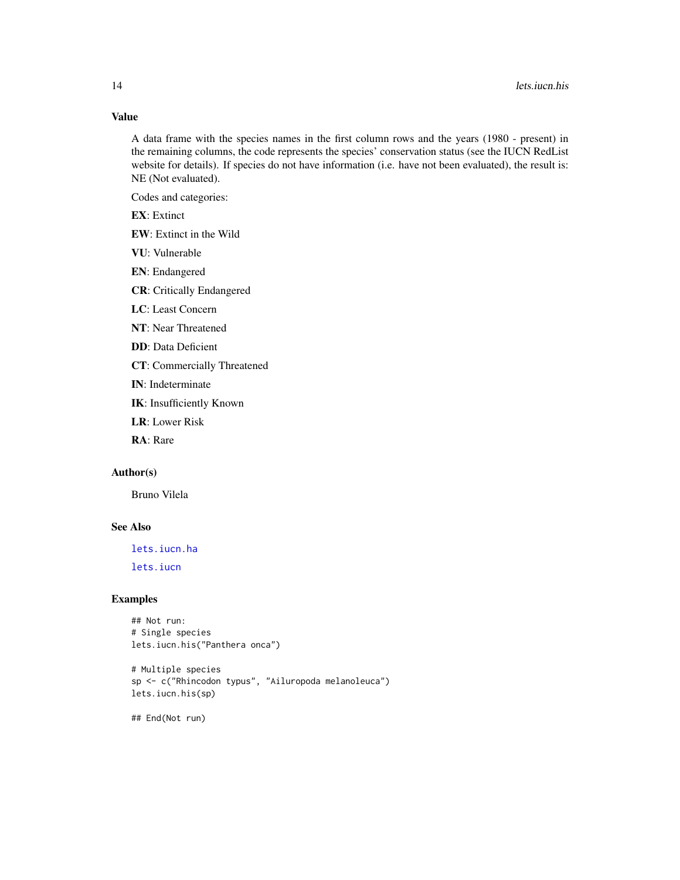### Value

A data frame with the species names in the first column rows and the years (1980 - present) in the remaining columns, the code represents the species' conservation status (see the IUCN RedList website for details). If species do not have information (i.e. have not been evaluated), the result is: NE (Not evaluated).

Codes and categories:

EX: Extinct

- EW: Extinct in the Wild
- VU: Vulnerable
- EN: Endangered
- CR: Critically Endangered
- LC: Least Concern
- NT: Near Threatened
- DD: Data Deficient
- CT: Commercially Threatened
- IN: Indeterminate
- IK: Insufficiently Known
- LR: Lower Risk

RA: Rare

### Author(s)

Bruno Vilela

## See Also

[lets.iucn.ha](#page-11-1)

[lets.iucn](#page-10-1)

#### Examples

```
## Not run:
# Single species
lets.iucn.his("Panthera onca")
```

```
# Multiple species
sp <- c("Rhincodon typus", "Ailuropoda melanoleuca")
lets.iucn.his(sp)
```
## End(Not run)

<span id="page-13-0"></span>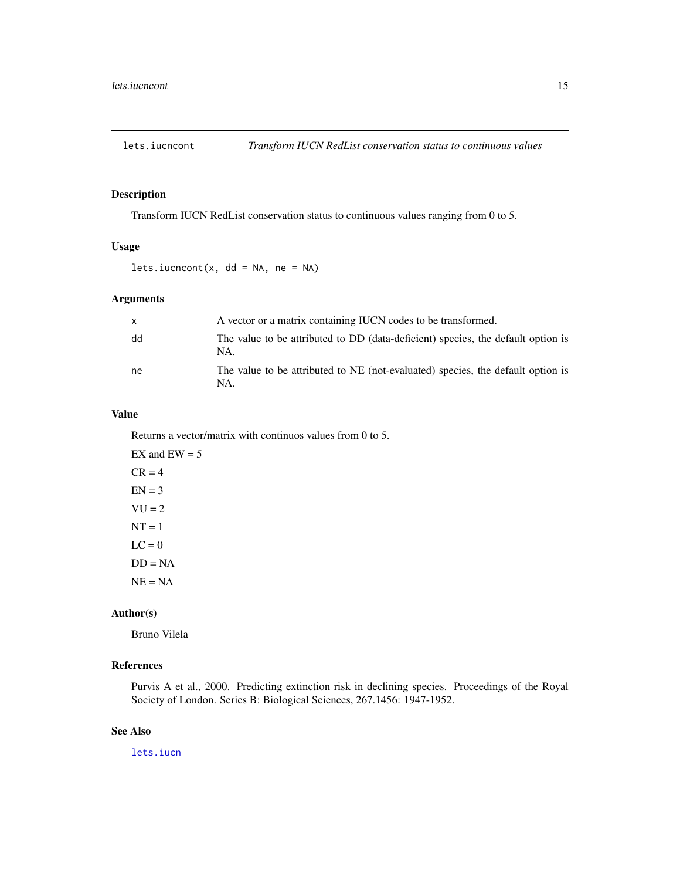<span id="page-14-0"></span>

### Description

Transform IUCN RedList conservation status to continuous values ranging from 0 to 5.

### Usage

lets.iucncont(x,  $dd = NA$ , ne = NA)

### Arguments

| $\mathsf{x}$ | A vector or a matrix containing IUCN codes to be transformed.                           |
|--------------|-----------------------------------------------------------------------------------------|
| dd           | The value to be attributed to DD (data-deficient) species, the default option is<br>NA. |
| ne           | The value to be attributed to NE (not-evaluated) species, the default option is<br>NA.  |

### Value

Returns a vector/matrix with continuos values from 0 to 5.

EX and  $EW = 5$  $CR = 4$  $EN = 3$  $VU = 2$  $NT = 1$  $LC = 0$  $DD = NA$  $NE = NA$ 

### Author(s)

Bruno Vilela

### References

Purvis A et al., 2000. Predicting extinction risk in declining species. Proceedings of the Royal Society of London. Series B: Biological Sciences, 267.1456: 1947-1952.

#### See Also

[lets.iucn](#page-10-1)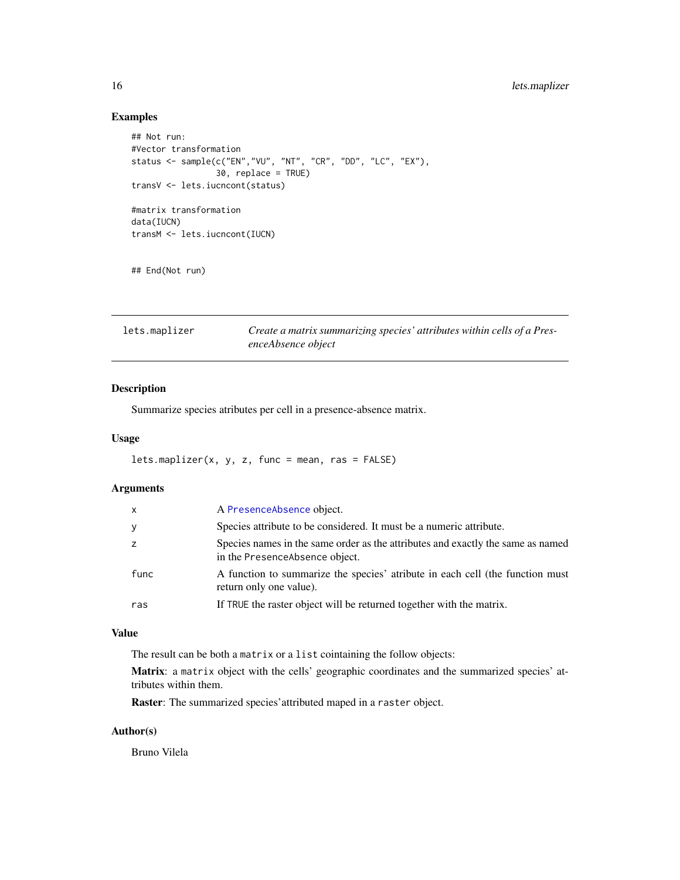### Examples

```
## Not run:
#Vector transformation
status <- sample(c("EN","VU", "NT", "CR", "DD", "LC", "EX"),
                 30, replace = TRUE)
transV <- lets.iucncont(status)
#matrix transformation
data(IUCN)
transM <- lets.iucncont(IUCN)
## End(Not run)
```
<span id="page-15-1"></span>

| lets.maplizer | Create a matrix summarizing species' attributes within cells of a Pres- |  |
|---------------|-------------------------------------------------------------------------|--|
|               | enceAbsence object                                                      |  |

### Description

Summarize species atributes per cell in a presence-absence matrix.

### Usage

```
lets.maplizer(x, y, z, func = mean, ras = FALSE)
```
### Arguments

| $\mathsf{x}$ | A PresenceAbsence object.                                                                                          |
|--------------|--------------------------------------------------------------------------------------------------------------------|
| y            | Species attribute to be considered. It must be a numeric attribute.                                                |
| z            | Species names in the same order as the attributes and exactly the same as named<br>in the Presence Absence object. |
| func         | A function to summarize the species' atribute in each cell (the function must<br>return only one value).           |
| ras          | If TRUE the raster object will be returned together with the matrix.                                               |

#### Value

The result can be both a matrix or a list cointaining the follow objects:

Matrix: a matrix object with the cells' geographic coordinates and the summarized species' attributes within them.

Raster: The summarized species'attributed maped in a raster object.

### Author(s)

Bruno Vilela

<span id="page-15-0"></span>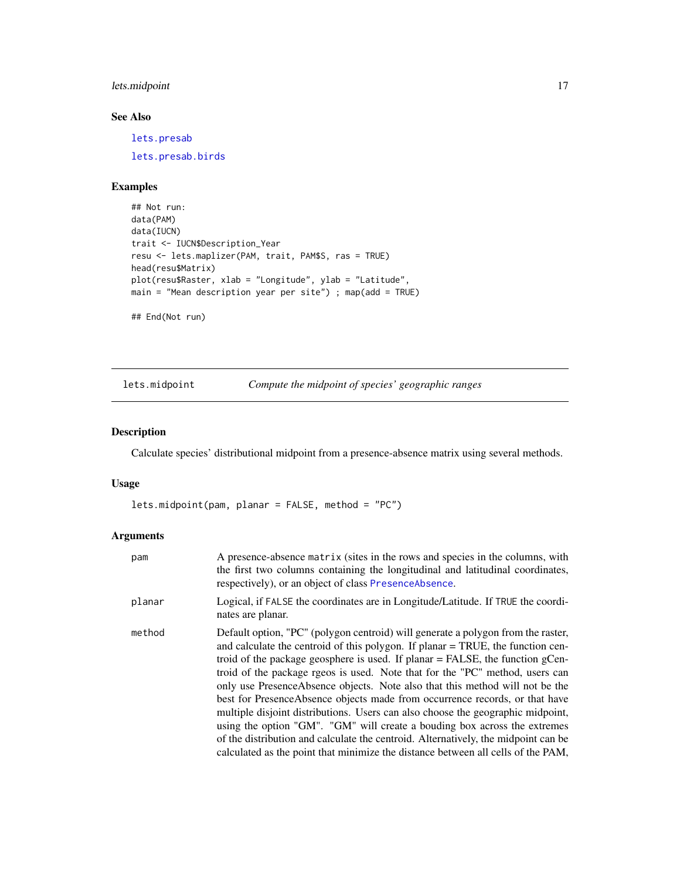### <span id="page-16-0"></span>lets.midpoint 17

### See Also

[lets.presab](#page-20-1) [lets.presab.birds](#page-22-1)

### Examples

```
## Not run:
data(PAM)
data(IUCN)
trait <- IUCN$Description_Year
resu <- lets.maplizer(PAM, trait, PAM$S, ras = TRUE)
head(resu$Matrix)
plot(resu$Raster, xlab = "Longitude", ylab = "Latitude",
main = "Mean description year per site") ; map(add = TRUE)
```
## End(Not run)

<span id="page-16-1"></span>lets.midpoint *Compute the midpoint of species' geographic ranges*

### Description

Calculate species' distributional midpoint from a presence-absence matrix using several methods.

#### Usage

lets.midpoint(pam, planar = FALSE, method = "PC")

### Arguments

| pam    | A presence-absence matrix (sites in the rows and species in the columns, with<br>the first two columns containing the longitudinal and latitudinal coordinates,<br>respectively), or an object of class PresenceAbsence.                                                                                                                                                                                                                                                                                                                                                                                                                                                                                                                                                                                                                          |
|--------|---------------------------------------------------------------------------------------------------------------------------------------------------------------------------------------------------------------------------------------------------------------------------------------------------------------------------------------------------------------------------------------------------------------------------------------------------------------------------------------------------------------------------------------------------------------------------------------------------------------------------------------------------------------------------------------------------------------------------------------------------------------------------------------------------------------------------------------------------|
| planar | Logical, if FALSE the coordinates are in Longitude/Latitude. If TRUE the coordi-<br>nates are planar.                                                                                                                                                                                                                                                                                                                                                                                                                                                                                                                                                                                                                                                                                                                                             |
| method | Default option, "PC" (polygon centroid) will generate a polygon from the raster,<br>and calculate the centroid of this polygon. If planar = TRUE, the function cen-<br>troid of the package geosphere is used. If planar $=$ FALSE, the function gCen-<br>troid of the package rgeos is used. Note that for the "PC" method, users can<br>only use Presence Absence objects. Note also that this method will not be the<br>best for Presence Absence objects made from occurrence records, or that have<br>multiple disjoint distributions. Users can also choose the geographic midpoint,<br>using the option "GM". "GM" will create a bouding box across the extremes<br>of the distribution and calculate the centroid. Alternatively, the midpoint can be<br>calculated as the point that minimize the distance between all cells of the PAM, |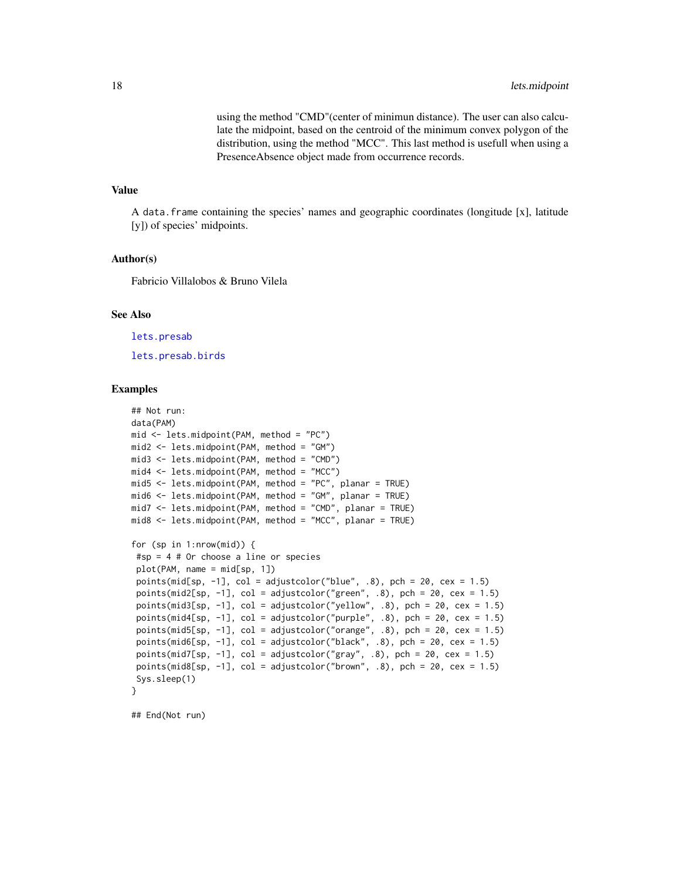using the method "CMD"(center of minimun distance). The user can also calculate the midpoint, based on the centroid of the minimum convex polygon of the distribution, using the method "MCC". This last method is usefull when using a PresenceAbsence object made from occurrence records.

#### Value

A data.frame containing the species' names and geographic coordinates (longitude [x], latitude [y]) of species' midpoints.

#### Author(s)

Fabricio Villalobos & Bruno Vilela

#### See Also

[lets.presab](#page-20-1)

[lets.presab.birds](#page-22-1)

#### Examples

```
## Not run:
data(PAM)
mid <- lets.midpoint(PAM, method = "PC")
mid2 <- lets.midpoint(PAM, method = "GM")
mid3 <- lets.midpoint(PAM, method = "CMD")
mid4 < - lets.midpoint(PAM, method = "MCC")
mid5 <- lets.midpoint(PAM, method = "PC", planar = TRUE)
mid6 <- lets.midpoint(PAM, method = "GM", planar = TRUE)
mid7 <- lets.midpoint(PAM, method = "CMD", planar = TRUE)
mid8 <- lets.midpoint(PAM, method = "MCC", planar = TRUE)
for (sp in 1:nrow(mid)) {
 #sp = 4 # Or choose a line or species
 plot(PAM, name = mid[sp, 1])
 points(mid[sp, -1], col = adjustcolor("blue", .8), pch = 20, cex = 1.5)
 points(mid2[sp, -1], col = adjustcolor("green", .8), pch = 20, cex = 1.5)
 points(mid3[sp, -1], col = adjustcolor("yellow", .8), pch = 20, cex = 1.5)
 points(mid4[sp, -1], col = adjustcolor("purple", .8), pch = 20, cex = 1.5)
 points(mid5[sp, -1], col = adjustcolor("orange", .8), pch = 20, cex = 1.5)
 points(mid6[sp, -1], col = adjustcolor("black", .8), pch = 20, cex = 1.5)
 points(mid7[sp, -1], col = adjustcolor("gray", .8), pch = 20, cex = 1.5)
 points(mid8[sp, -1], col = adjustcolor("brown", .8), pch = 20, cex = 1.5)
 Sys.sleep(1)
}
## End(Not run)
```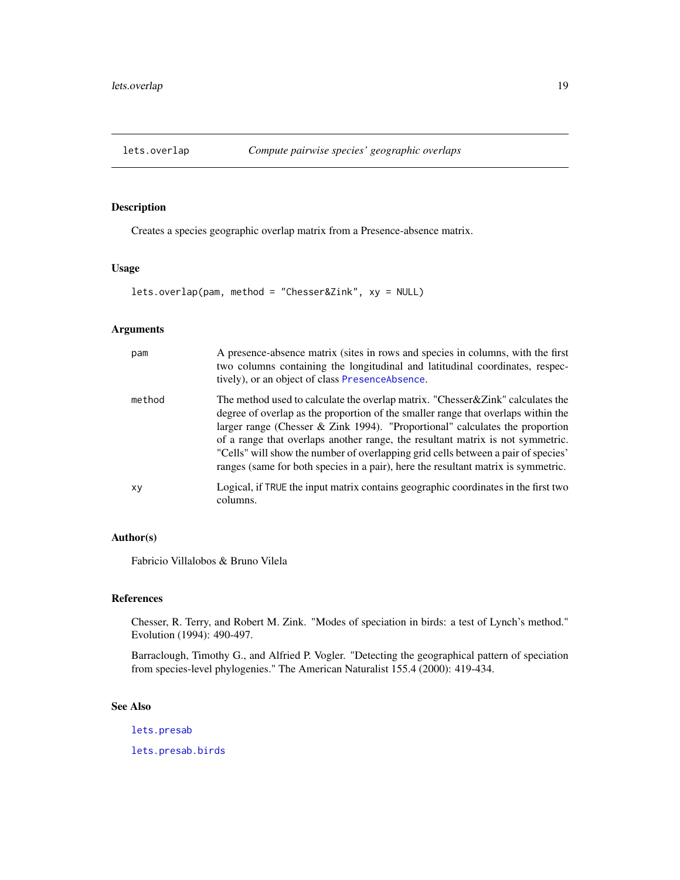<span id="page-18-1"></span><span id="page-18-0"></span>

### Description

Creates a species geographic overlap matrix from a Presence-absence matrix.

### Usage

lets.overlap(pam, method = "Chesser&Zink", xy = NULL)

### Arguments

| pam    | A presence-absence matrix (sites in rows and species in columns, with the first<br>two columns containing the longitudinal and latitudinal coordinates, respec-<br>tively), or an object of class PresenceAbsence.                                                                                                                                                                                                                                                                                                |
|--------|-------------------------------------------------------------------------------------------------------------------------------------------------------------------------------------------------------------------------------------------------------------------------------------------------------------------------------------------------------------------------------------------------------------------------------------------------------------------------------------------------------------------|
| method | The method used to calculate the overlap matrix. "Chesser & Zink" calculates the<br>degree of overlap as the proportion of the smaller range that overlaps within the<br>larger range (Chesser & Zink 1994). "Proportional" calculates the proportion<br>of a range that overlaps another range, the resultant matrix is not symmetric.<br>"Cells" will show the number of overlapping grid cells between a pair of species'<br>ranges (same for both species in a pair), here the resultant matrix is symmetric. |
| XV     | Logical, if TRUE the input matrix contains geographic coordinates in the first two<br>columns.                                                                                                                                                                                                                                                                                                                                                                                                                    |

### Author(s)

Fabricio Villalobos & Bruno Vilela

### References

Chesser, R. Terry, and Robert M. Zink. "Modes of speciation in birds: a test of Lynch's method." Evolution (1994): 490-497.

Barraclough, Timothy G., and Alfried P. Vogler. "Detecting the geographical pattern of speciation from species-level phylogenies." The American Naturalist 155.4 (2000): 419-434.

#### See Also

[lets.presab](#page-20-1)

[lets.presab.birds](#page-22-1)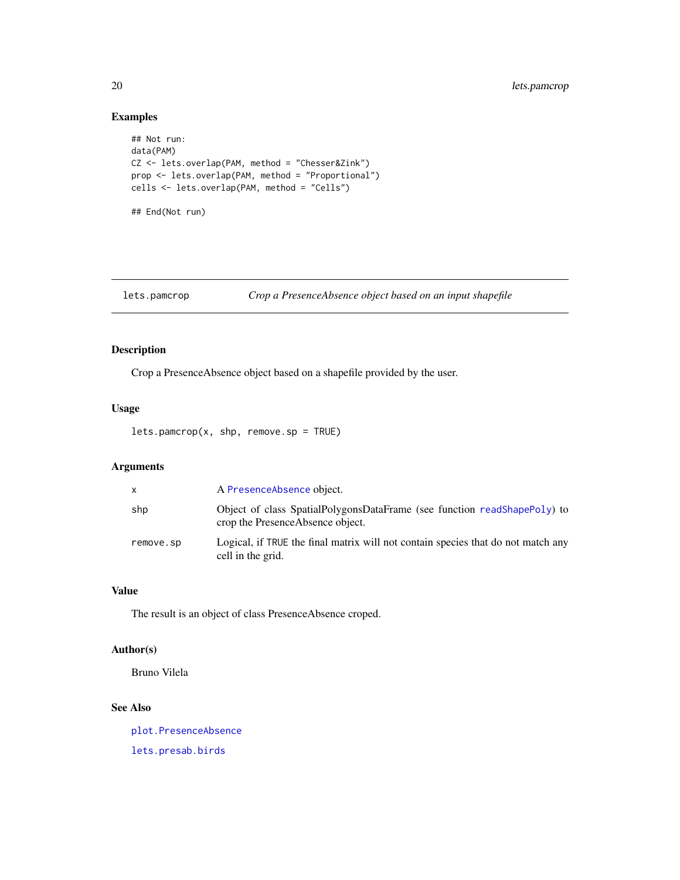### Examples

```
## Not run:
data(PAM)
CZ <- lets.overlap(PAM, method = "Chesser&Zink")
prop <- lets.overlap(PAM, method = "Proportional")
cells <- lets.overlap(PAM, method = "Cells")
## End(Not run)
```
### <span id="page-19-1"></span>lets.pamcrop *Crop a PresenceAbsence object based on an input shapefile*

### Description

Crop a PresenceAbsence object based on a shapefile provided by the user.

#### Usage

```
lets.pam crop(x, shp, remove(sp = TRUE)
```
### Arguments

| X         | A PresenceAbsence object.                                                                                     |
|-----------|---------------------------------------------------------------------------------------------------------------|
| shp       | Object of class SpatialPolygonsDataFrame (see function readShapePoly) to<br>crop the Presence Absence object. |
| remove.sp | Logical, if TRUE the final matrix will not contain species that do not match any<br>cell in the grid.         |

### Value

The result is an object of class PresenceAbsence croped.

### Author(s)

Bruno Vilela

### See Also

[plot.PresenceAbsence](#page-34-1) [lets.presab.birds](#page-22-1)

<span id="page-19-0"></span>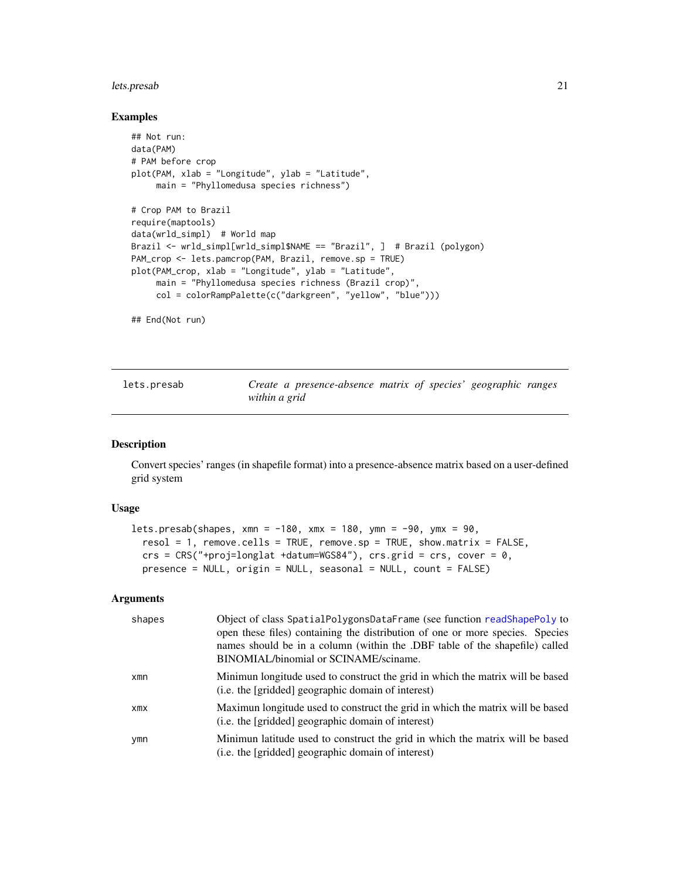#### <span id="page-20-0"></span>lets.presab 21

#### Examples

```
## Not run:
data(PAM)
# PAM before crop
plot(PAM, xlab = "Longitude", ylab = "Latitude",
     main = "Phyllomedusa species richness")
# Crop PAM to Brazil
require(maptools)
data(wrld_simpl) # World map
Brazil <- wrld_simpl[wrld_simpl$NAME == "Brazil", ] # Brazil (polygon)
PAM_crop <- lets.pamcrop(PAM, Brazil, remove.sp = TRUE)
plot(PAM_crop, xlab = "Longitude", ylab = "Latitude",
     main = "Phyllomedusa species richness (Brazil crop)",
     col = colorRampPalette(c("darkgreen", "yellow", "blue")))
```
## End(Not run)

<span id="page-20-1"></span>

|  | lets.presab |
|--|-------------|
|--|-------------|

Create a presence-absence matrix of species' geographic ranges *within a grid*

#### Description

Convert species' ranges (in shapefile format) into a presence-absence matrix based on a user-defined grid system

#### Usage

```
lets.presab(shapes, xmn = -180, xmx = 180, ymn = -90, ymx = 90,
  resol = 1, remove. cells = TRUE, remove. sp = TRUE, show.matrix = FALSE,crs = CRS("+proj=longlat +datum=WGS84"), crs.grid = crs, cover = 0,
  presence = NULL, origin = NULL, seasonal = NULL, count = FALSE)
```
### Arguments

| shapes | Object of class SpatialPolygonsDataFrame (see function readShapePoly to<br>open these files) containing the distribution of one or more species. Species<br>names should be in a column (within the .DBF table of the shapefile) called<br>BINOMIAL/binomial or SCINAME/sciname. |
|--------|----------------------------------------------------------------------------------------------------------------------------------------------------------------------------------------------------------------------------------------------------------------------------------|
| xmn    | Minimun longitude used to construct the grid in which the matrix will be based<br>(i.e. the [gridded] geographic domain of interest)                                                                                                                                             |
| xmx    | Maximun longitude used to construct the grid in which the matrix will be based<br>(i.e. the [gridded] geographic domain of interest)                                                                                                                                             |
| ymn    | Minimun latitude used to construct the grid in which the matrix will be based<br>(i.e. the [gridded] geographic domain of interest)                                                                                                                                              |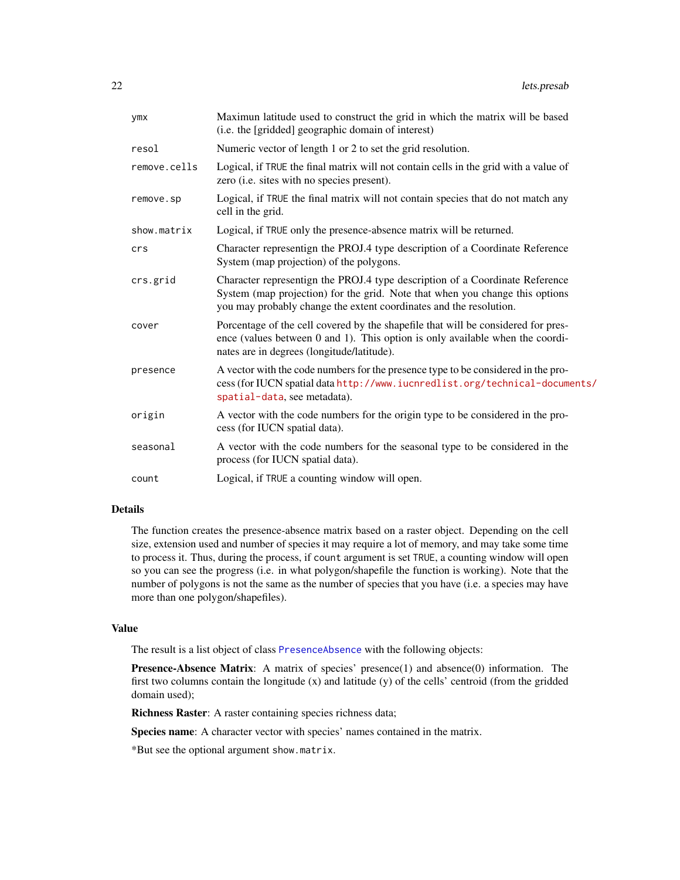<span id="page-21-0"></span>

| ymx          | Maximun latitude used to construct the grid in which the matrix will be based<br>(i.e. the [gridded] geographic domain of interest)                                                                                                |
|--------------|------------------------------------------------------------------------------------------------------------------------------------------------------------------------------------------------------------------------------------|
| resol        | Numeric vector of length 1 or 2 to set the grid resolution.                                                                                                                                                                        |
| remove.cells | Logical, if TRUE the final matrix will not contain cells in the grid with a value of<br>zero (i.e. sites with no species present).                                                                                                 |
| remove.sp    | Logical, if TRUE the final matrix will not contain species that do not match any<br>cell in the grid.                                                                                                                              |
| show.matrix  | Logical, if TRUE only the presence-absence matrix will be returned.                                                                                                                                                                |
| crs          | Character representign the PROJ.4 type description of a Coordinate Reference<br>System (map projection) of the polygons.                                                                                                           |
| crs.grid     | Character representign the PROJ.4 type description of a Coordinate Reference<br>System (map projection) for the grid. Note that when you change this options<br>you may probably change the extent coordinates and the resolution. |
| cover        | Porcentage of the cell covered by the shapefile that will be considered for pres-<br>ence (values between $0$ and $1$ ). This option is only available when the coordi-<br>nates are in degrees (longitude/latitude).              |
| presence     | A vector with the code numbers for the presence type to be considered in the pro-<br>cess (for IUCN spatial data http://www.iucnredlist.org/technical-documents/<br>spatial-data, see metadata).                                   |
| origin       | A vector with the code numbers for the origin type to be considered in the pro-<br>cess (for IUCN spatial data).                                                                                                                   |
| seasonal     | A vector with the code numbers for the seasonal type to be considered in the<br>process (for IUCN spatial data).                                                                                                                   |
| count        | Logical, if TRUE a counting window will open.                                                                                                                                                                                      |
|              |                                                                                                                                                                                                                                    |

#### Details

The function creates the presence-absence matrix based on a raster object. Depending on the cell size, extension used and number of species it may require a lot of memory, and may take some time to process it. Thus, during the process, if count argument is set TRUE, a counting window will open so you can see the progress (i.e. in what polygon/shapefile the function is working). Note that the number of polygons is not the same as the number of species that you have (i.e. a species may have more than one polygon/shapefiles).

#### Value

The result is a list object of class [PresenceAbsence](#page-35-1) with the following objects:

Presence-Absence Matrix: A matrix of species' presence(1) and absence(0) information. The first two columns contain the longitude (x) and latitude (y) of the cells' centroid (from the gridded domain used);

Richness Raster: A raster containing species richness data;

Species name: A character vector with species' names contained in the matrix.

\*But see the optional argument show.matrix.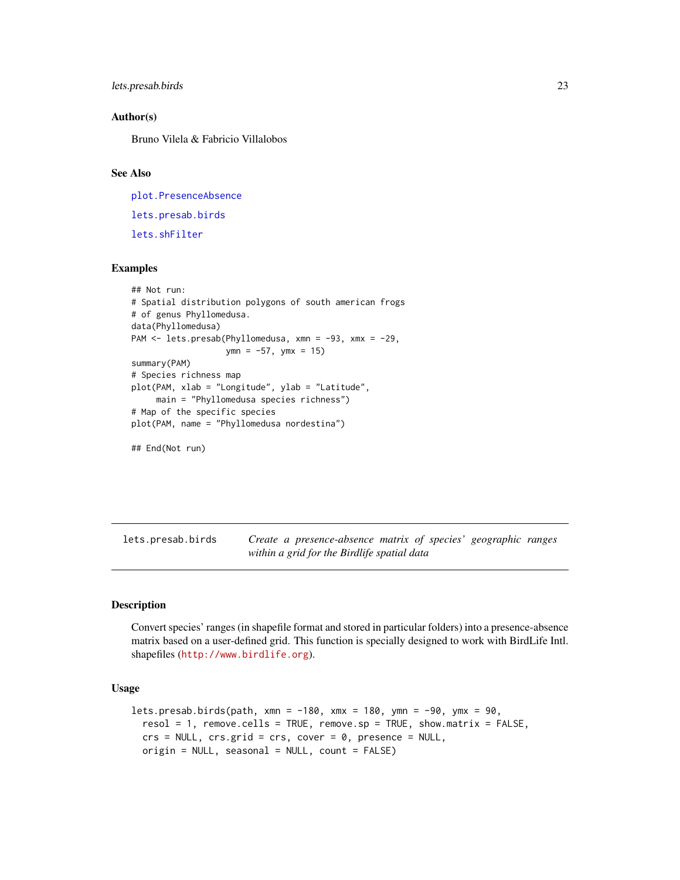```
lets.presab.birds 23
```
#### Author(s)

Bruno Vilela & Fabricio Villalobos

#### See Also

[plot.PresenceAbsence](#page-34-1) [lets.presab.birds](#page-22-1) [lets.shFilter](#page-29-1)

### Examples

```
## Not run:
# Spatial distribution polygons of south american frogs
# of genus Phyllomedusa.
data(Phyllomedusa)
PAM <- lets.presab(Phyllomedusa, xmn = -93, xmx = -29,
                   ymn = -57, ymx = 15)
summary(PAM)
# Species richness map
plot(PAM, xlab = "Longitude", ylab = "Latitude",
     main = "Phyllomedusa species richness")
# Map of the specific species
plot(PAM, name = "Phyllomedusa nordestina")
```
## End(Not run)

<span id="page-22-1"></span>lets.presab.birds *Create a presence-absence matrix of species' geographic ranges within a grid for the Birdlife spatial data*

### Description

Convert species' ranges (in shapefile format and stored in particular folders) into a presence-absence matrix based on a user-defined grid. This function is specially designed to work with BirdLife Intl. shapefiles (<http://www.birdlife.org>).

```
lets.presab.birds(path, xmn = -180, xmx = 180, ymn = -90, ymx = 90,
  resol = 1, remove. cells = TRUE, remove. sp = TRUE, show.matrix = FALSE,
 crs = NULL, crs.grid = crs, cover = 0, presence = NULL,
  origin = NULL, seasonal = NULL, count = FALSE)
```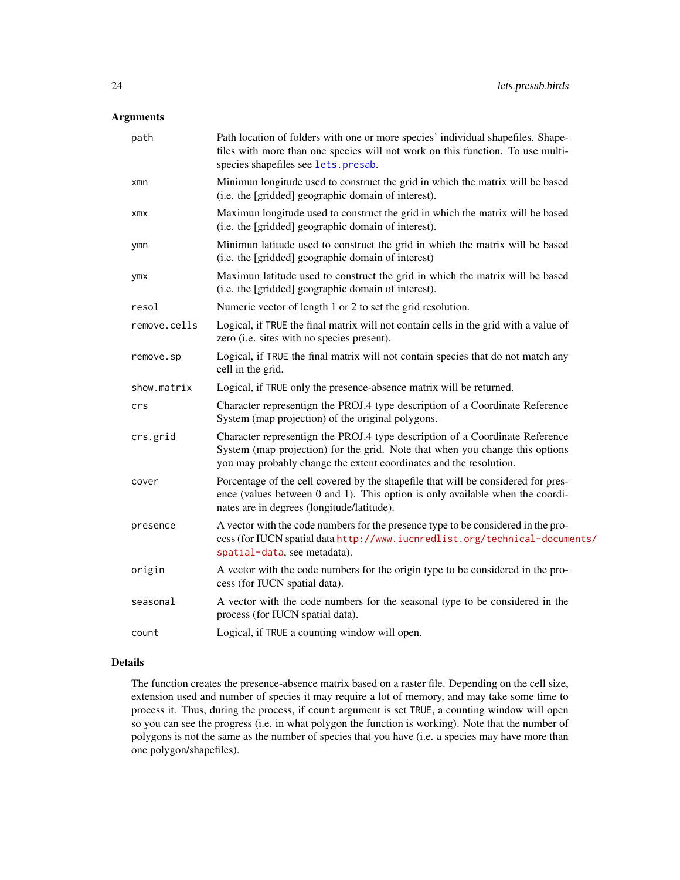### <span id="page-23-0"></span>Arguments

| path         | Path location of folders with one or more species' individual shapefiles. Shape-<br>files with more than one species will not work on this function. To use multi-<br>species shapefiles see lets.presab.                          |
|--------------|------------------------------------------------------------------------------------------------------------------------------------------------------------------------------------------------------------------------------------|
| xmn          | Minimun longitude used to construct the grid in which the matrix will be based<br>(i.e. the [gridded] geographic domain of interest).                                                                                              |
| xmx          | Maximun longitude used to construct the grid in which the matrix will be based<br>(i.e. the [gridded] geographic domain of interest).                                                                                              |
| ymn          | Minimun latitude used to construct the grid in which the matrix will be based<br>(i.e. the [gridded] geographic domain of interest)                                                                                                |
| ymx          | Maximun latitude used to construct the grid in which the matrix will be based<br>(i.e. the [gridded] geographic domain of interest).                                                                                               |
| resol        | Numeric vector of length 1 or 2 to set the grid resolution.                                                                                                                                                                        |
| remove.cells | Logical, if TRUE the final matrix will not contain cells in the grid with a value of<br>zero (i.e. sites with no species present).                                                                                                 |
| remove.sp    | Logical, if TRUE the final matrix will not contain species that do not match any<br>cell in the grid.                                                                                                                              |
| show.matrix  | Logical, if TRUE only the presence-absence matrix will be returned.                                                                                                                                                                |
| crs          | Character representign the PROJ.4 type description of a Coordinate Reference<br>System (map projection) of the original polygons.                                                                                                  |
| crs.grid     | Character representign the PROJ.4 type description of a Coordinate Reference<br>System (map projection) for the grid. Note that when you change this options<br>you may probably change the extent coordinates and the resolution. |
| cover        | Porcentage of the cell covered by the shapefile that will be considered for pres-<br>ence (values between 0 and 1). This option is only available when the coordi-<br>nates are in degrees (longitude/latitude).                   |
| presence     | A vector with the code numbers for the presence type to be considered in the pro-<br>cess (for IUCN spatial data http://www.iucnredlist.org/technical-documents/<br>spatial-data, see metadata).                                   |
| origin       | A vector with the code numbers for the origin type to be considered in the pro-<br>cess (for IUCN spatial data).                                                                                                                   |
| seasonal     | A vector with the code numbers for the seasonal type to be considered in the<br>process (for IUCN spatial data).                                                                                                                   |
| count        | Logical, if TRUE a counting window will open.                                                                                                                                                                                      |

### Details

The function creates the presence-absence matrix based on a raster file. Depending on the cell size, extension used and number of species it may require a lot of memory, and may take some time to process it. Thus, during the process, if count argument is set TRUE, a counting window will open so you can see the progress (i.e. in what polygon the function is working). Note that the number of polygons is not the same as the number of species that you have (i.e. a species may have more than one polygon/shapefiles).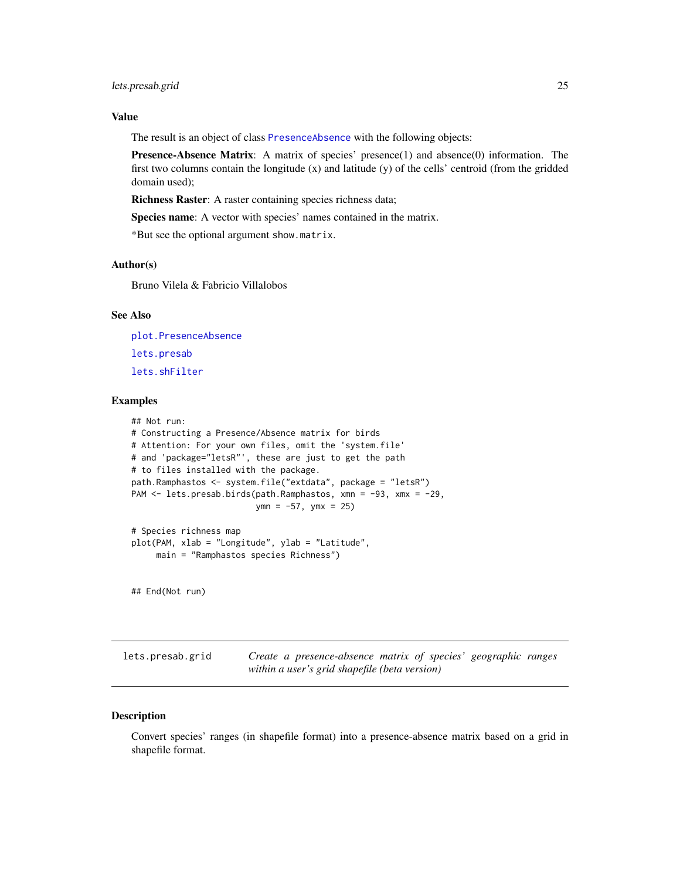### <span id="page-24-0"></span>lets.presab.grid 25

### Value

The result is an object of class [PresenceAbsence](#page-35-1) with the following objects:

Presence-Absence Matrix: A matrix of species' presence(1) and absence(0) information. The first two columns contain the longitude (x) and latitude (y) of the cells' centroid (from the gridded domain used);

Richness Raster: A raster containing species richness data;

Species name: A vector with species' names contained in the matrix.

\*But see the optional argument show.matrix.

#### Author(s)

Bruno Vilela & Fabricio Villalobos

### See Also

[plot.PresenceAbsence](#page-34-1) [lets.presab](#page-20-1) [lets.shFilter](#page-29-1)

#### Examples

```
## Not run:
# Constructing a Presence/Absence matrix for birds
# Attention: For your own files, omit the 'system.file'
# and 'package="letsR"', these are just to get the path
# to files installed with the package.
path.Ramphastos <- system.file("extdata", package = "letsR")
PAM <- lets.presab.birds(path.Ramphastos, xmn = -93, xmx = -29,
                         ymn = -57, ymx = 25)
# Species richness map
plot(PAM, xlab = "Longitude", ylab = "Latitude",
     main = "Ramphastos species Richness")
```
## End(Not run)

lets.presab.grid *Create a presence-absence matrix of species' geographic ranges within a user's grid shapefile (beta version)*

#### Description

Convert species' ranges (in shapefile format) into a presence-absence matrix based on a grid in shapefile format.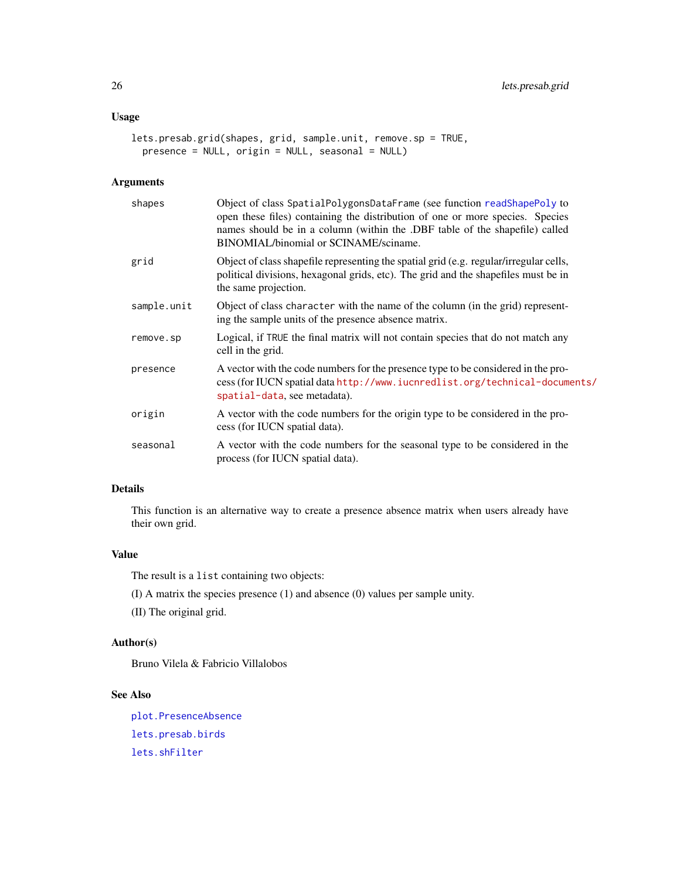### <span id="page-25-0"></span>Usage

```
lets.presab.grid(shapes, grid, sample.unit, remove.sp = TRUE,
 presence = NULL, origin = NULL, seasonal = NULL)
```
### Arguments

| shapes      | Object of class SpatialPolygonsDataFrame (see function readShapePoly to<br>open these files) containing the distribution of one or more species. Species<br>names should be in a column (within the .DBF table of the shapefile) called<br>BINOMIAL/binomial or SCINAME/sciname. |
|-------------|----------------------------------------------------------------------------------------------------------------------------------------------------------------------------------------------------------------------------------------------------------------------------------|
| grid        | Object of class shapefile representing the spatial grid (e.g. regular/irregular cells,<br>political divisions, hexagonal grids, etc). The grid and the shapefiles must be in<br>the same projection.                                                                             |
| sample.unit | Object of class character with the name of the column (in the grid) represent-<br>ing the sample units of the presence absence matrix.                                                                                                                                           |
| remove.sp   | Logical, if TRUE the final matrix will not contain species that do not match any<br>cell in the grid.                                                                                                                                                                            |
| presence    | A vector with the code numbers for the presence type to be considered in the pro-<br>cess (for IUCN spatial data http://www.iucnredlist.org/technical-documents/<br>spatial-data, see metadata).                                                                                 |
| origin      | A vector with the code numbers for the origin type to be considered in the pro-<br>cess (for IUCN spatial data).                                                                                                                                                                 |
| seasonal    | A vector with the code numbers for the seasonal type to be considered in the<br>process (for IUCN spatial data).                                                                                                                                                                 |

### Details

This function is an alternative way to create a presence absence matrix when users already have their own grid.

#### Value

The result is a list containing two objects:

(I) A matrix the species presence (1) and absence (0) values per sample unity.

(II) The original grid.

### Author(s)

Bruno Vilela & Fabricio Villalobos

### See Also

[plot.PresenceAbsence](#page-34-1) [lets.presab.birds](#page-22-1) [lets.shFilter](#page-29-1)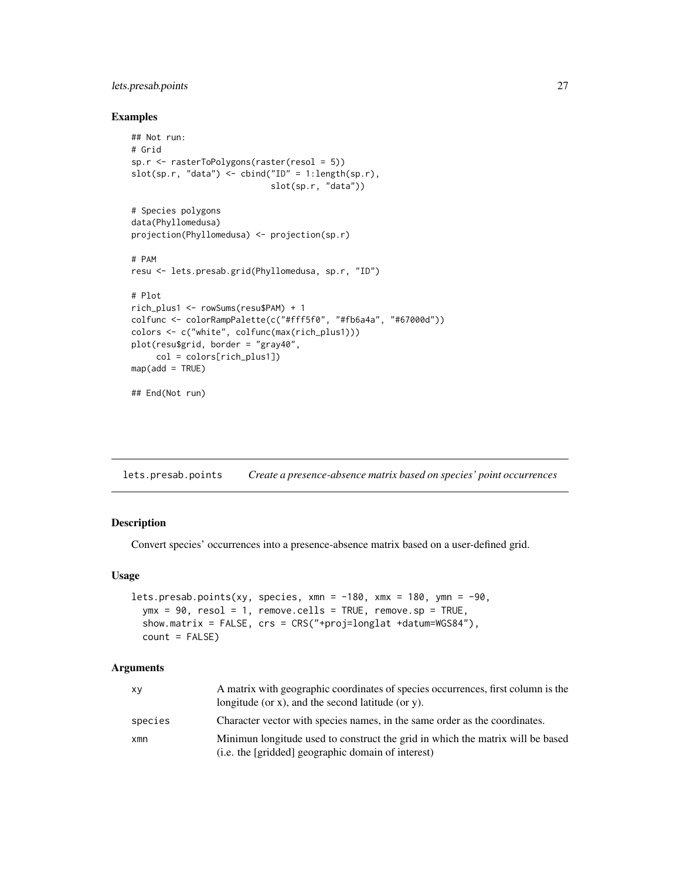### <span id="page-26-0"></span>lets.presab.points 27

#### Examples

```
## Not run:
# Grid
sp.r <- rasterToPolygons(raster(resol = 5))
slot(sp.r, "data") <- cbind("ID" = 1:length(sp.r),
                            slot(sp.r, "data"))
# Species polygons
data(Phyllomedusa)
projection(Phyllomedusa) <- projection(sp.r)
# PAM
resu <- lets.presab.grid(Phyllomedusa, sp.r, "ID")
# Plot
rich_plus1 <- rowSums(resu$PAM) + 1
colfunc <- colorRampPalette(c("#fff5f0", "#fb6a4a", "#67000d"))
colors <- c("white", colfunc(max(rich_plus1)))
plot(resu$grid, border = "gray40",
     col = colors[rich_plus1])
map(add = TRUE)## End(Not run)
```
<span id="page-26-1"></span>lets.presab.points *Create a presence-absence matrix based on species' point occurrences*

### Description

Convert species' occurrences into a presence-absence matrix based on a user-defined grid.

#### Usage

```
lets.presab.points(xy, species, xmn = -180, xmx = 180, ymn = -90,
 ymx = 90, resol = 1, remove.cells = TRUE, remove.sp = TRUE,
  show.matrix = FALSE, crs = CRS("+proj=longlat +datum=WGS84"),
 count = FALSE)
```
#### Arguments

| xy      | A matrix with geographic coordinates of species occurrences, first column is the<br>longitude (or $x$ ), and the second latitude (or $y$ ). |
|---------|---------------------------------------------------------------------------------------------------------------------------------------------|
| species | Character vector with species names, in the same order as the coordinates.                                                                  |
| xmn     | Minimun longitude used to construct the grid in which the matrix will be based<br>(i.e. the [gridded] geographic domain of interest)        |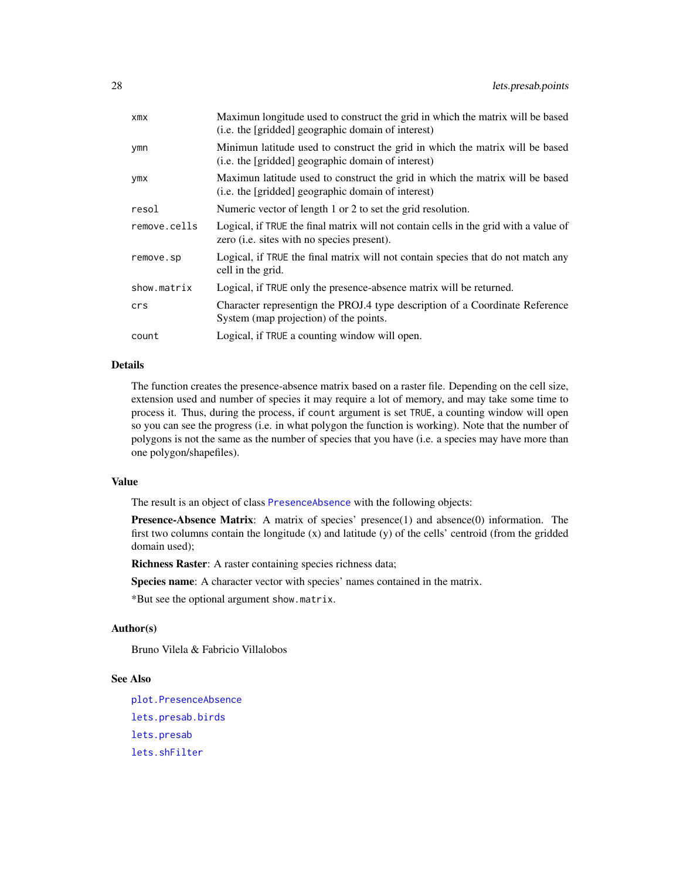<span id="page-27-0"></span>

| xmx          | Maximun longitude used to construct the grid in which the matrix will be based<br>(i.e. the [gridded] geographic domain of interest)       |
|--------------|--------------------------------------------------------------------------------------------------------------------------------------------|
| ymn          | Minimun latitude used to construct the grid in which the matrix will be based<br>(i.e. the [gridded] geographic domain of interest)        |
| ymx          | Maximun latitude used to construct the grid in which the matrix will be based<br>(i.e. the [gridded] geographic domain of interest)        |
| resol        | Numeric vector of length 1 or 2 to set the grid resolution.                                                                                |
| remove.cells | Logical, if TRUE the final matrix will not contain cells in the grid with a value of<br>zero ( <i>i.e.</i> sites with no species present). |
| remove.sp    | Logical, if TRUE the final matrix will not contain species that do not match any<br>cell in the grid.                                      |
| show.matrix  | Logical, if TRUE only the presence-absence matrix will be returned.                                                                        |
| crs          | Character representign the PROJ.4 type description of a Coordinate Reference<br>System (map projection) of the points.                     |
| count        | Logical, if TRUE a counting window will open.                                                                                              |

### Details

The function creates the presence-absence matrix based on a raster file. Depending on the cell size, extension used and number of species it may require a lot of memory, and may take some time to process it. Thus, during the process, if count argument is set TRUE, a counting window will open so you can see the progress (i.e. in what polygon the function is working). Note that the number of polygons is not the same as the number of species that you have (i.e. a species may have more than one polygon/shapefiles).

#### Value

The result is an object of class [PresenceAbsence](#page-35-1) with the following objects:

Presence-Absence Matrix: A matrix of species' presence(1) and absence(0) information. The first two columns contain the longitude  $(x)$  and latitude  $(y)$  of the cells' centroid (from the gridded domain used);

Richness Raster: A raster containing species richness data;

Species name: A character vector with species' names contained in the matrix.

\*But see the optional argument show.matrix.

### Author(s)

Bruno Vilela & Fabricio Villalobos

### See Also

[plot.PresenceAbsence](#page-34-1) [lets.presab.birds](#page-22-1) [lets.presab](#page-20-1) [lets.shFilter](#page-29-1)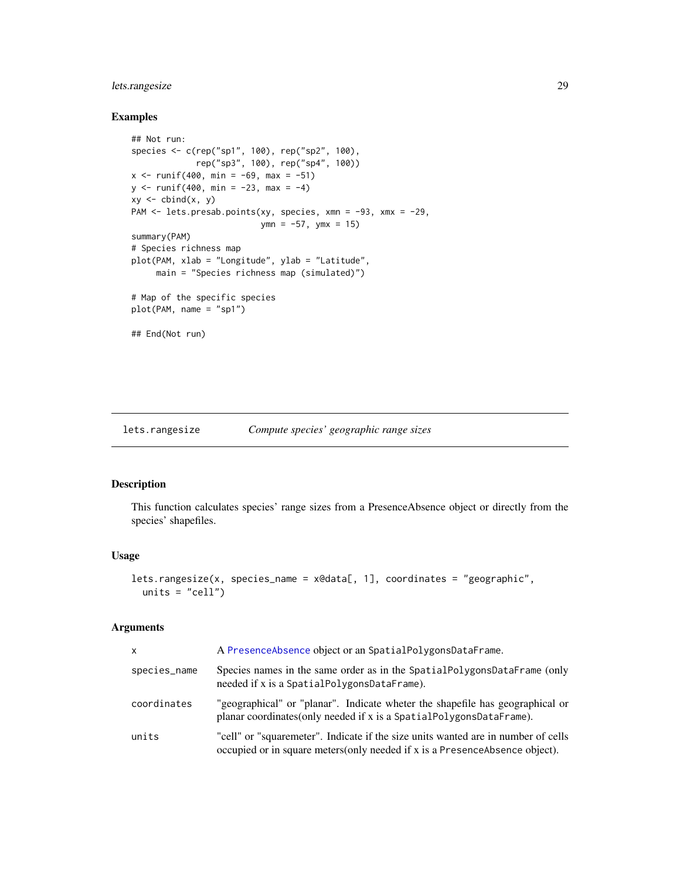### <span id="page-28-0"></span>lets.rangesize 29

### Examples

```
## Not run:
species <- c(rep("sp1", 100), rep("sp2", 100),
             rep("sp3", 100), rep("sp4", 100))
x \le runif(400, min = -69, max = -51)
y \le - runif(400, min = -23, max = -4)
xy \leftarrow \text{cbind}(x, y)PAM <- lets.presab.points(xy, species, xmn = -93, xmx = -29,
                          ymn = -57, ymx = 15summary(PAM)
# Species richness map
plot(PAM, xlab = "Longitude", ylab = "Latitude",
     main = "Species richness map (simulated)")
# Map of the specific species
plot(PAM, name = "sp1")
## End(Not run)
```
<span id="page-28-1"></span>lets.rangesize *Compute species' geographic range sizes*

### Description

This function calculates species' range sizes from a PresenceAbsence object or directly from the species' shapefiles.

### Usage

```
lets.rangesize(x, species_name = x@data[, 1], coordinates = "geographic",
 units = "cell")
```
#### Arguments

| X            | A PresenceAbsence object or an SpatialPolygonsDataFrame.                                                                                                         |
|--------------|------------------------------------------------------------------------------------------------------------------------------------------------------------------|
| species_name | Species names in the same order as in the SpatialPolygonsDataFrame (only<br>needed if x is a SpatialPolygonsDataFrame).                                          |
| coordinates  | "geographical" or "planar". Indicate wheter the shapefile has geographical or<br>planar coordinates(only needed if x is a SpatialPolygonsDataFrame).             |
| units        | "cell" or "squaremeter". Indicate if the size units wanted are in number of cells<br>occupied or in square meters(only needed if x is a PresenceAbsence object). |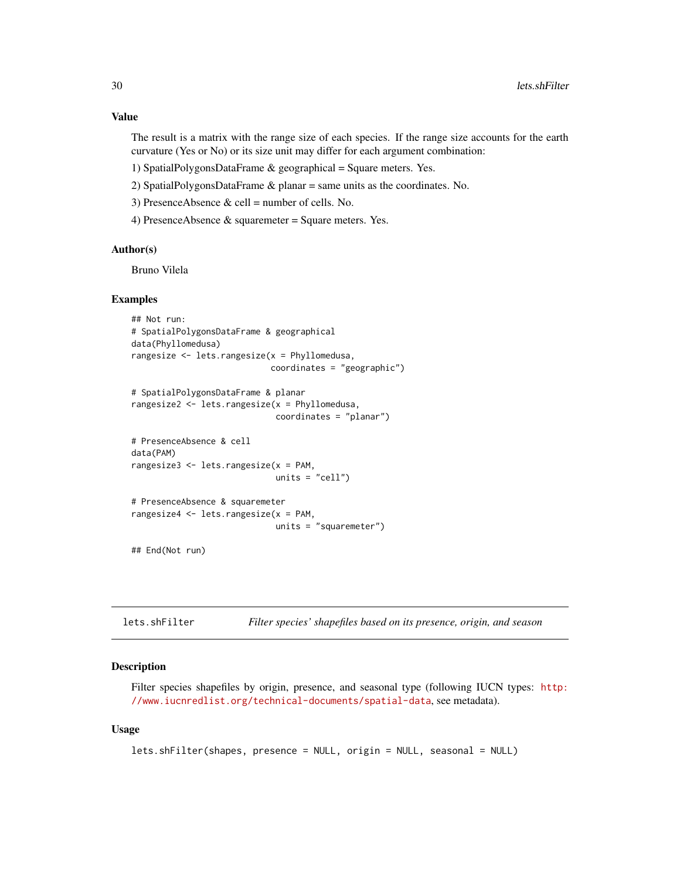### <span id="page-29-0"></span>Value

The result is a matrix with the range size of each species. If the range size accounts for the earth curvature (Yes or No) or its size unit may differ for each argument combination:

- 1) SpatialPolygonsDataFrame & geographical = Square meters. Yes.
- 2) SpatialPolygonsDataFrame & planar = same units as the coordinates. No.
- 3) PresenceAbsence  $&$  cell = number of cells. No.
- 4) PresenceAbsence & squaremeter = Square meters. Yes.

#### Author(s)

Bruno Vilela

### Examples

```
## Not run:
# SpatialPolygonsDataFrame & geographical
data(Phyllomedusa)
rangesize <- lets.rangesize(x = Phyllomedusa,
                            coordinates = "geographic")
# SpatialPolygonsDataFrame & planar
rangesize2 <- lets.rangesize(x = Phyllomedusa,
                             coordinates = "planar")
# PresenceAbsence & cell
data(PAM)
rangesize3 <- lets.rangesize(x = PAM,
                             units = "cell")
# PresenceAbsence & squaremeter
rangesize4 <- lets.rangesize(x = PAM,
                            units = "squaremeter")
```
## End(Not run)

<span id="page-29-1"></span>

| lets.shFilter | Filter species' shapefiles based on its presence, origin, and season |  |  |  |  |  |
|---------------|----------------------------------------------------------------------|--|--|--|--|--|
|---------------|----------------------------------------------------------------------|--|--|--|--|--|

### Description

Filter species shapefiles by origin, presence, and seasonal type (following IUCN types: [http:](http://www.iucnredlist.org/technical-documents/spatial-data) [//www.iucnredlist.org/technical-documents/spatial-data](http://www.iucnredlist.org/technical-documents/spatial-data), see metadata).

```
lets.shFilter(shapes, presence = NULL, origin = NULL, seasonal = NULL)
```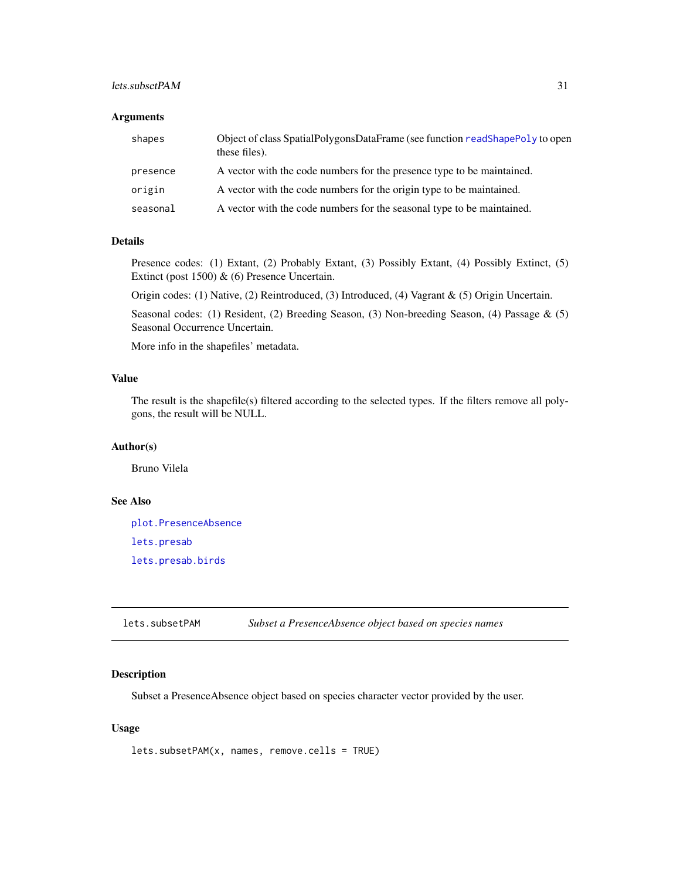### <span id="page-30-0"></span>lets.subsetPAM 31

### Arguments

| shapes   | Object of class SpatialPolygonsDataFrame (see function readShapePoly to open<br>these files). |
|----------|-----------------------------------------------------------------------------------------------|
| presence | A vector with the code numbers for the presence type to be maintained.                        |
| origin   | A vector with the code numbers for the origin type to be maintained.                          |
| seasonal | A vector with the code numbers for the seasonal type to be maintained.                        |

### Details

Presence codes: (1) Extant, (2) Probably Extant, (3) Possibly Extant, (4) Possibly Extinct, (5) Extinct (post 1500) & (6) Presence Uncertain.

Origin codes: (1) Native, (2) Reintroduced, (3) Introduced, (4) Vagrant & (5) Origin Uncertain.

Seasonal codes: (1) Resident, (2) Breeding Season, (3) Non-breeding Season, (4) Passage & (5) Seasonal Occurrence Uncertain.

More info in the shapefiles' metadata.

### Value

The result is the shapefile(s) filtered according to the selected types. If the filters remove all polygons, the result will be NULL.

### Author(s)

Bruno Vilela

### See Also

[plot.PresenceAbsence](#page-34-1) [lets.presab](#page-20-1) [lets.presab.birds](#page-22-1)

lets.subsetPAM *Subset a PresenceAbsence object based on species names*

### Description

Subset a PresenceAbsence object based on species character vector provided by the user.

```
lets.subsetPAM(x, names, remove.cells = TRUE)
```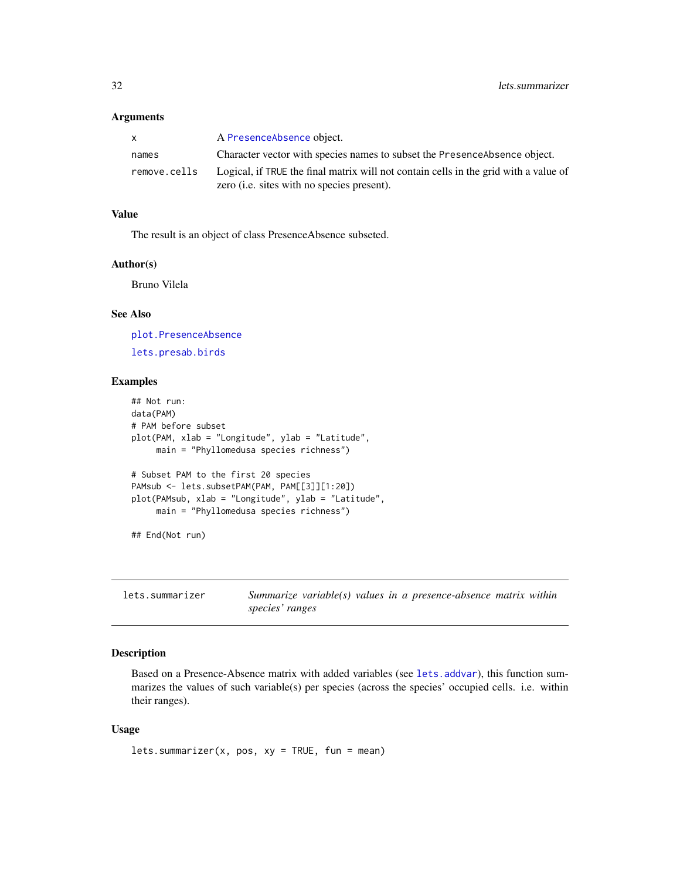#### <span id="page-31-0"></span>Arguments

| $\mathsf{x}$ | A PresenceAbsence object.                                                                                                                  |
|--------------|--------------------------------------------------------------------------------------------------------------------------------------------|
| names        | Character vector with species names to subset the Presence Absence object.                                                                 |
| remove.cells | Logical, if TRUE the final matrix will not contain cells in the grid with a value of<br>zero ( <i>i.e.</i> sites with no species present). |

### Value

The result is an object of class PresenceAbsence subseted.

#### Author(s)

Bruno Vilela

### See Also

[plot.PresenceAbsence](#page-34-1) [lets.presab.birds](#page-22-1)

#### Examples

```
## Not run:
data(PAM)
# PAM before subset
plot(PAM, xlab = "Longitude", ylab = "Latitude",
     main = "Phyllomedusa species richness")
# Subset PAM to the first 20 species
PAMsub <- lets.subsetPAM(PAM, PAM[[3]][1:20])
plot(PAMsub, xlab = "Longitude", ylab = "Latitude",
     main = "Phyllomedusa species richness")
## End(Not run)
```
lets.summarizer *Summarize variable(s) values in a presence-absence matrix within species' ranges*

### Description

Based on a Presence-Absence matrix with added variables (see [lets.addvar](#page-4-1)), this function summarizes the values of such variable(s) per species (across the species' occupied cells. i.e. within their ranges).

```
lets.summarizer(x, pos, xy = TRUE, fun = mean)
```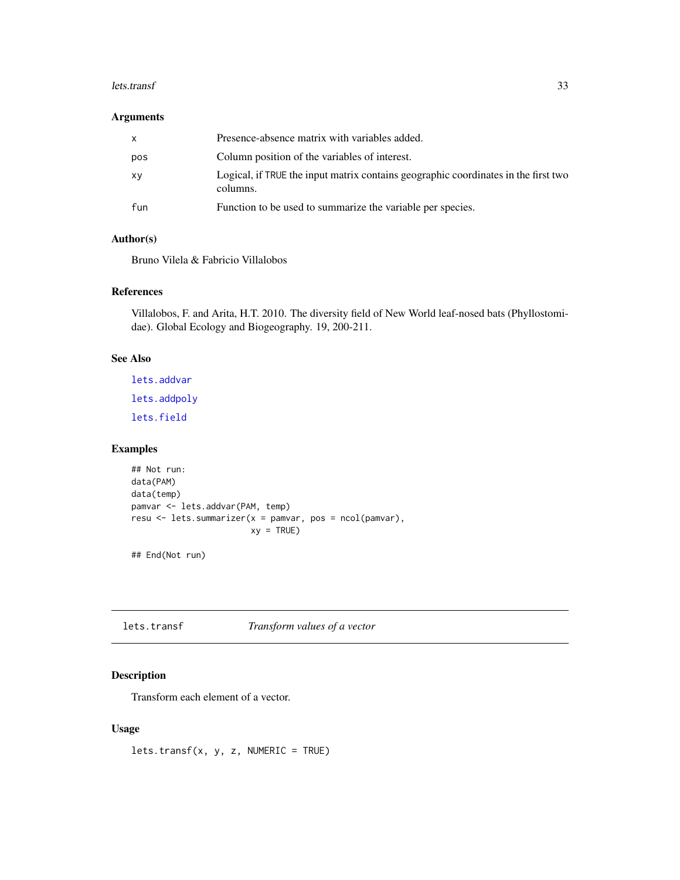#### <span id="page-32-0"></span>lets.transf 33

### Arguments

| x   | Presence-absence matrix with variables added.                                                  |
|-----|------------------------------------------------------------------------------------------------|
| pos | Column position of the variables of interest.                                                  |
| хy  | Logical, if TRUE the input matrix contains geographic coordinates in the first two<br>columns. |
| fun | Function to be used to summarize the variable per species.                                     |

## Author(s)

Bruno Vilela & Fabricio Villalobos

### References

Villalobos, F. and Arita, H.T. 2010. The diversity field of New World leaf-nosed bats (Phyllostomidae). Global Ecology and Biogeography. 19, 200-211.

### See Also

[lets.addvar](#page-4-1) [lets.addpoly](#page-3-1) [lets.field](#page-8-1)

### Examples

```
## Not run:
data(PAM)
data(temp)
pamvar <- lets.addvar(PAM, temp)
resu <- lets.summarizer(x = pamvar, pos = ncol(pamvar),
                       xy = TRUE
```
## End(Not run)

lets.transf *Transform values of a vector*

### Description

Transform each element of a vector.

### Usage

lets.transf(x, y, z, NUMERIC = TRUE)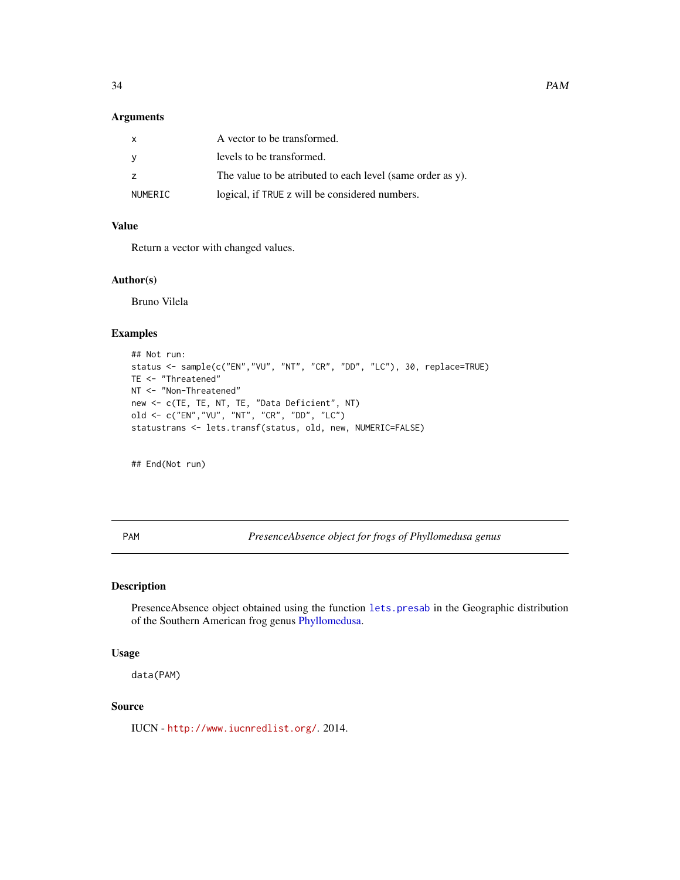### <span id="page-33-0"></span>Arguments

| X              | A vector to be transformed.                                |
|----------------|------------------------------------------------------------|
| - V            | levels to be transformed.                                  |
| $\overline{z}$ | The value to be atributed to each level (same order as y). |
| NUMERIC        | logical, if TRUE z will be considered numbers.             |

### Value

Return a vector with changed values.

### Author(s)

Bruno Vilela

#### Examples

```
## Not run:
status <- sample(c("EN","VU", "NT", "CR", "DD", "LC"), 30, replace=TRUE)
TE <- "Threatened"
NT <- "Non-Threatened"
new <- c(TE, TE, NT, TE, "Data Deficient", NT)
old <- c("EN","VU", "NT", "CR", "DD", "LC")
statustrans <- lets.transf(status, old, new, NUMERIC=FALSE)
```
## End(Not run)

PAM *PresenceAbsence object for frogs of Phyllomedusa genus*

### Description

PresenceAbsence object obtained using the function [lets.presab](#page-20-1) in the Geographic distribution of the Southern American frog genus [Phyllomedusa.](#page-34-2)

### Usage

data(PAM)

#### Source

IUCN - <http://www.iucnredlist.org/>. 2014.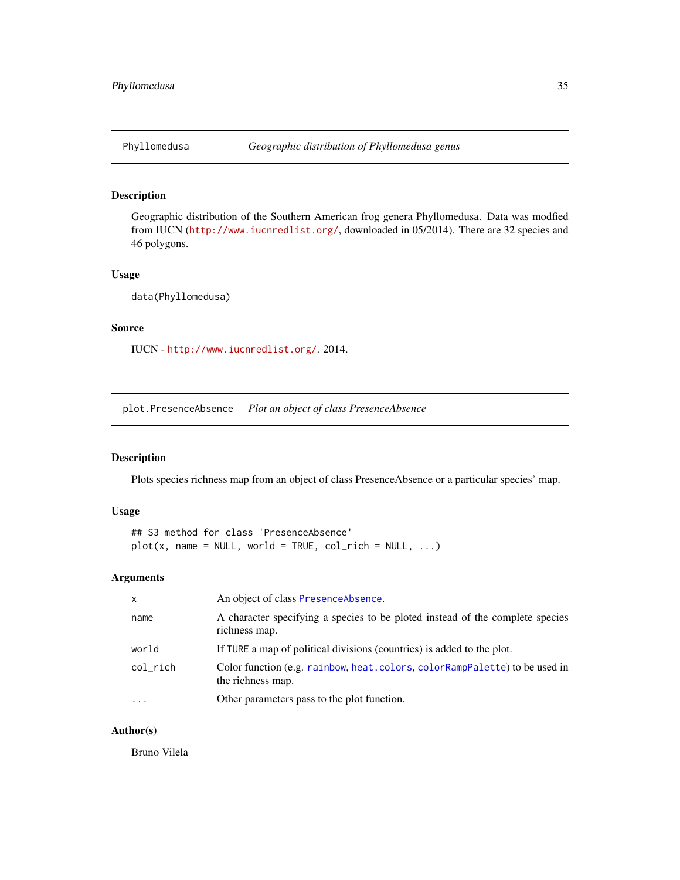<span id="page-34-2"></span><span id="page-34-0"></span>

### Description

Geographic distribution of the Southern American frog genera Phyllomedusa. Data was modfied from IUCN (<http://www.iucnredlist.org/>, downloaded in 05/2014). There are 32 species and 46 polygons.

### Usage

data(Phyllomedusa)

#### Source

IUCN - <http://www.iucnredlist.org/>. 2014.

<span id="page-34-1"></span>plot.PresenceAbsence *Plot an object of class PresenceAbsence*

### Description

Plots species richness map from an object of class PresenceAbsence or a particular species' map.

#### Usage

## S3 method for class 'PresenceAbsence'  $plot(x, name = NULL, world = TRUE, col-rich = NULL, ...)$ 

### Arguments

| $\mathsf{x}$ | An object of class PresenceAbsence.                                                             |
|--------------|-------------------------------------------------------------------------------------------------|
| name         | A character specifying a species to be ploted instead of the complete species<br>richness map.  |
| world        | If TURE a map of political divisions (countries) is added to the plot.                          |
| col_rich     | Color function (e.g. rainbow, heat.colors, colorRampPalette) to be used in<br>the richness map. |
| $\cdot$      | Other parameters pass to the plot function.                                                     |

### Author(s)

Bruno Vilela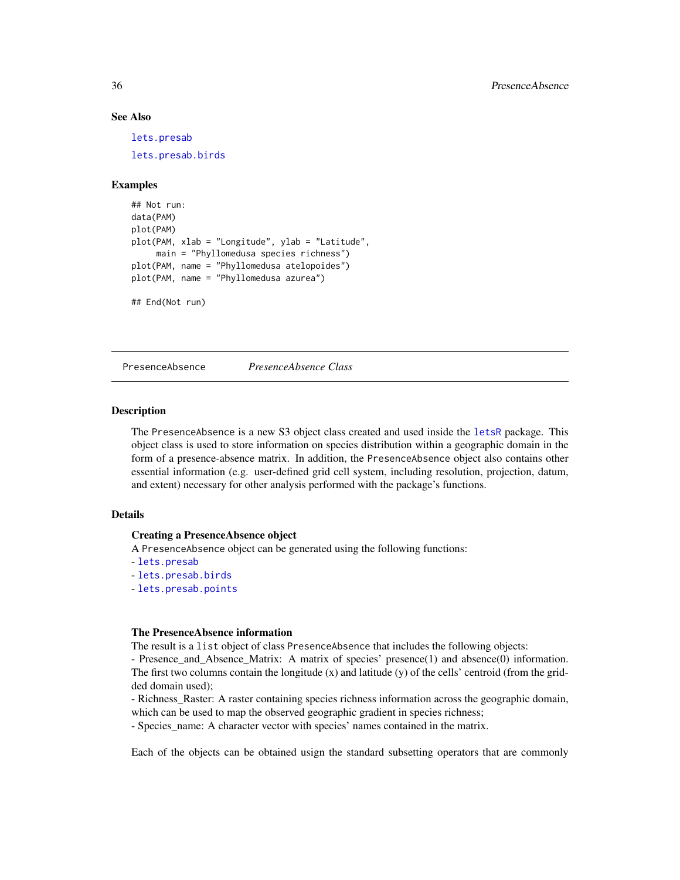### <span id="page-35-0"></span>See Also

[lets.presab](#page-20-1) [lets.presab.birds](#page-22-1)

#### Examples

```
## Not run:
data(PAM)
plot(PAM)
plot(PAM, xlab = "Longitude", ylab = "Latitude",
     main = "Phyllomedusa species richness")
plot(PAM, name = "Phyllomedusa atelopoides")
plot(PAM, name = "Phyllomedusa azurea")
```
## End(Not run)

<span id="page-35-1"></span>PresenceAbsence *PresenceAbsence Class*

### Description

The PresenceAbsence is a new S3 object class created and used inside the [letsR](#page-1-1) package. This object class is used to store information on species distribution within a geographic domain in the form of a presence-absence matrix. In addition, the PresenceAbsence object also contains other essential information (e.g. user-defined grid cell system, including resolution, projection, datum, and extent) necessary for other analysis performed with the package's functions.

### Details

#### Creating a PresenceAbsence object

A PresenceAbsence object can be generated using the following functions:

- [lets.presab](#page-20-1)

- [lets.presab.birds](#page-22-1)
- [lets.presab.points](#page-26-1)

#### The PresenceAbsence information

The result is a list object of class PresenceAbsence that includes the following objects:

- Presence\_and\_Absence\_Matrix: A matrix of species' presence(1) and absence(0) information. The first two columns contain the longitude  $(x)$  and latitude  $(y)$  of the cells' centroid (from the gridded domain used);

- Richness\_Raster: A raster containing species richness information across the geographic domain, which can be used to map the observed geographic gradient in species richness;

- Species\_name: A character vector with species' names contained in the matrix.

Each of the objects can be obtained usign the standard subsetting operators that are commonly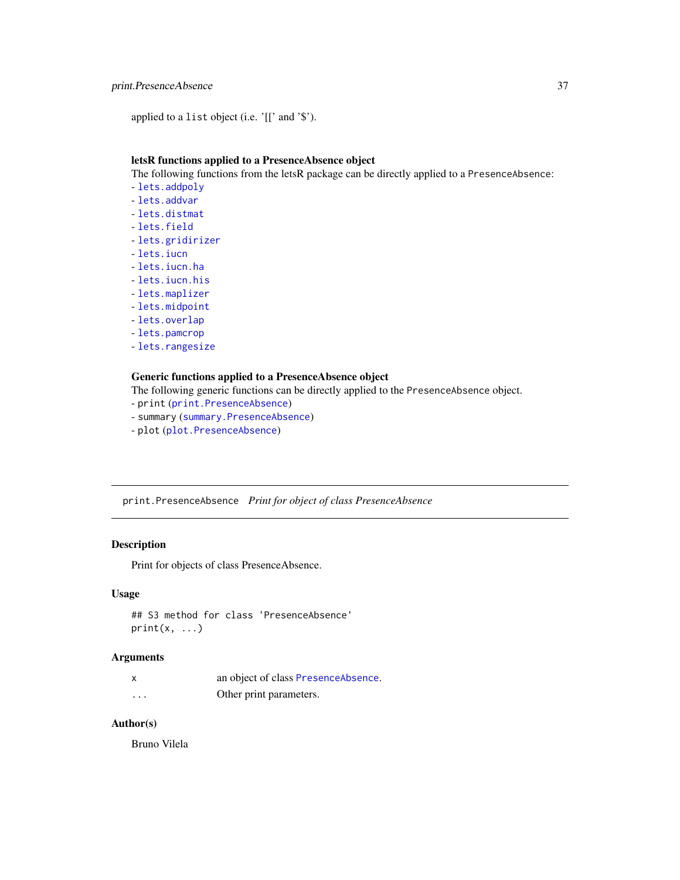### <span id="page-36-0"></span>print.PresenceAbsence 37

applied to a list object (i.e. '[[' and '\$').

### letsR functions applied to a PresenceAbsence object

The following functions from the letsR package can be directly applied to a PresenceAbsence:

- [lets.addpoly](#page-3-1)
- [lets.addvar](#page-4-1)
- [lets.distmat](#page-7-1)
- [lets.field](#page-8-1)
- [lets.gridirizer](#page-9-1)
- [lets.iucn](#page-10-1)
- [lets.iucn.ha](#page-11-1)
- [lets.iucn.his](#page-12-1)
- [lets.maplizer](#page-15-1)
- [lets.midpoint](#page-16-1)
- [lets.overlap](#page-18-1)
- [lets.pamcrop](#page-19-1)
- [lets.rangesize](#page-28-1)

#### Generic functions applied to a PresenceAbsence object

The following generic functions can be directly applied to the PresenceAbsence object.

- print ([print.PresenceAbsence](#page-36-1))
- summary ([summary.PresenceAbsence](#page-37-1))
- plot ([plot.PresenceAbsence](#page-34-1))

<span id="page-36-1"></span>print.PresenceAbsence *Print for object of class PresenceAbsence*

### Description

Print for objects of class PresenceAbsence.

### Usage

```
## S3 method for class 'PresenceAbsence'
print(x, \ldots)
```
#### Arguments

|          | an object of class PresenceAbsence. |
|----------|-------------------------------------|
| $\cdots$ | Other print parameters.             |

### Author(s)

Bruno Vilela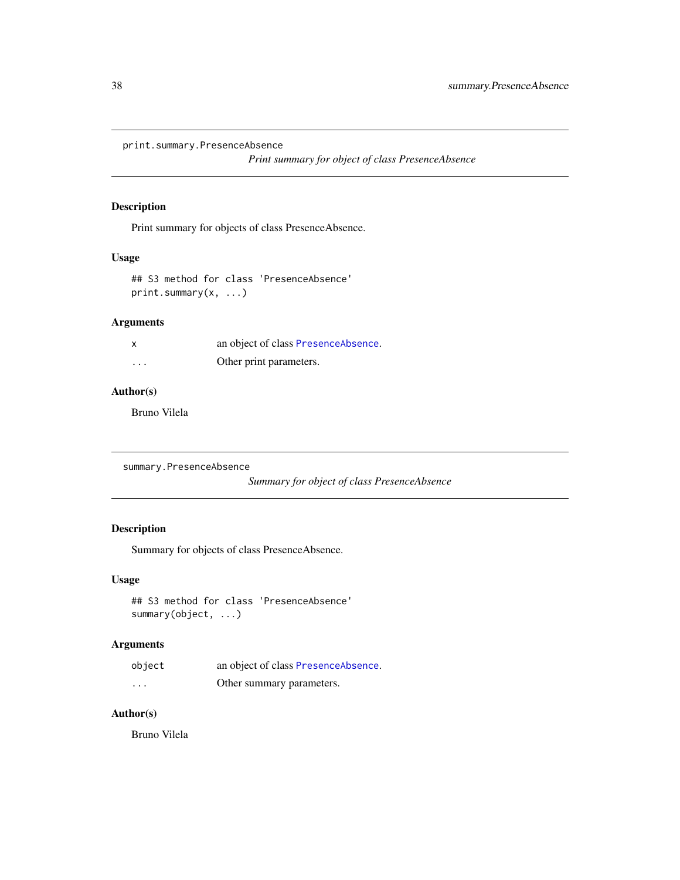<span id="page-37-0"></span>print.summary.PresenceAbsence

*Print summary for object of class PresenceAbsence*

### Description

Print summary for objects of class PresenceAbsence.

### Usage

```
## S3 method for class 'PresenceAbsence'
print.summary(x, ...)
```
### Arguments

| X        | an object of class PresenceAbsence. |
|----------|-------------------------------------|
| $\cdots$ | Other print parameters.             |

### Author(s)

Bruno Vilela

```
summary.PresenceAbsence
```
*Summary for object of class PresenceAbsence*

### Description

Summary for objects of class PresenceAbsence.

### Usage

```
## S3 method for class 'PresenceAbsence'
summary(object, ...)
```
### Arguments

| object   | an object of class PresenceAbsence. |
|----------|-------------------------------------|
| $\cdots$ | Other summary parameters.           |

## Author(s)

Bruno Vilela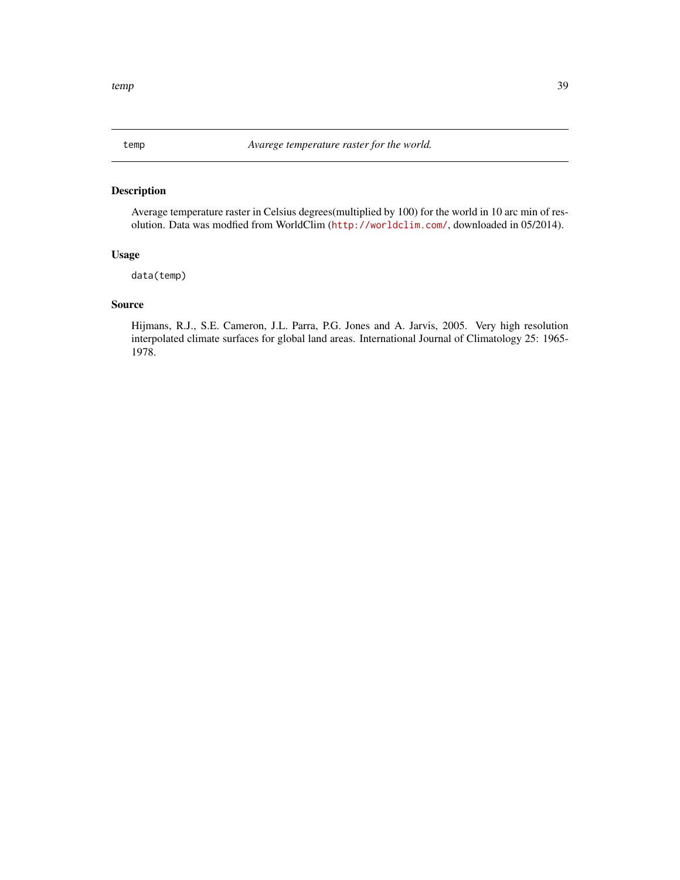<span id="page-38-0"></span>

### Description

Average temperature raster in Celsius degrees(multiplied by 100) for the world in 10 arc min of resolution. Data was modfied from WorldClim (<http://worldclim.com/>, downloaded in 05/2014).

#### Usage

data(temp)

### Source

Hijmans, R.J., S.E. Cameron, J.L. Parra, P.G. Jones and A. Jarvis, 2005. Very high resolution interpolated climate surfaces for global land areas. International Journal of Climatology 25: 1965- 1978.